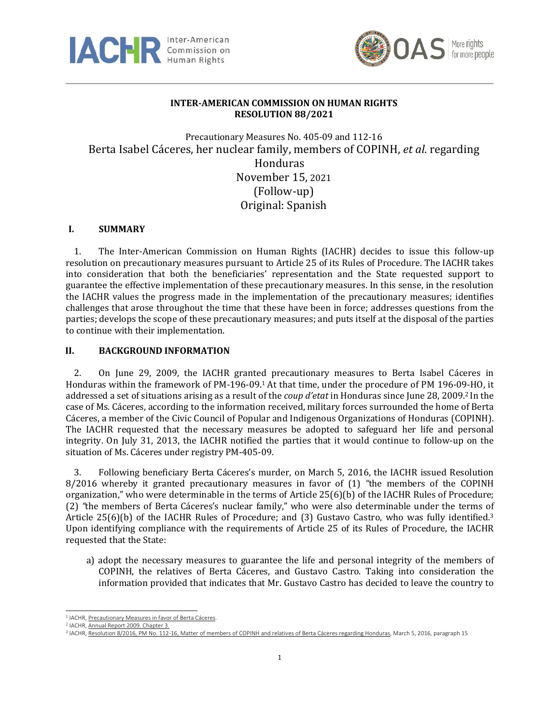



# **INTER-AMERICAN COMMISSION ON HUMAN RIGHTS RESOLUTION 88/2021**

Precautionary Measures No. 405-09 and 112-16 Berta Isabel Cáceres, her nuclear family, members of COPINH, *et al*. regarding Honduras November 15, 2021 (Follow-up) Original: Spanish

# **I. SUMMARY**

1. The Inter-American Commission on Human Rights (IACHR) decides to issue this follow-up resolution on precautionary measures pursuant to Article 25 of its Rules of Procedure. The IACHR takes into consideration that both the beneficiaries' representation and the State requested support to guarantee the effective implementation of these precautionary measures. In this sense, in the resolution the IACHR values the progress made in the implementation of the precautionary measures; identifies challenges that arose throughout the time that these have been in force; addresses questions from the parties; develops the scope of these precautionary measures; and puts itself at the disposal of the parties to continue with their implementation.

### **II. BACKGROUND INFORMATION**

2. On June 29, 2009, the IACHR granted precautionary measures to Berta Isabel Cáceres in Honduras within the framework of PM-196-09.<sup>1</sup> At that time, under the procedure of PM 196-09-HO, it addressed a set of situations arising as a result of the *coup d'etat* in Honduras since June 28, 2009. <sup>2</sup> In the case of Ms. Cáceres, according to the information received, military forces surrounded the home of Berta Cáceres, a member of the Civic Council of Popular and Indigenous Organizations of Honduras (COPINH). The IACHR requested that the necessary measures be adopted to safeguard her life and personal integrity. On July 31, 2013, the IACHR notified the parties that it would continue to follow-up on the situation of Ms. Cáceres under registry PM-405-09.

3. Following beneficiary Berta Cáceres's murder, on March 5, 2016, the IACHR issued Resolution 8/2016 whereby it granted precautionary measures in favor of (1) *"*the members of the COPINH organization," who were determinable in the terms of Article 25(6)(b) of the IACHR Rules of Procedure; (2) *"*the members of Berta Cáceres's nuclear family," who were also determinable under the terms of Article 25(6)(b) of the IACHR Rules of Procedure; and (3) Gustavo Castro, who was fully identified.<sup>3</sup> Upon identifying compliance with the requirements of Article 25 of its Rules of Procedure, the IACHR requested that the State:

a) adopt the necessary measures to guarantee the life and personal integrity of the members of COPINH, the relatives of Berta Cáceres, and Gustavo Castro. Taking into consideration the information provided that indicates that Mr. Gustavo Castro has decided to leave the country to

<sup>&</sup>lt;sup>1</sup> IACHR[, Precautionary Measures in favor](http://www.cidh.org/medidas/2009.sp.htm) of Berta Cáceres.

<sup>2</sup> IACHR[, Annual Report 2009. Chapter 3.](http://www.cidh.org/annualrep/2009sp/cap.3c1.09.sp.htm)

<sup>&</sup>lt;sup>3</sup> IACHR, [Resolution](http://www.oas.org/es/cidh/decisiones/pdf/2016/MC112-16-Es.pdf) 8/2016, PM No. 112-16, Matter of members of COPINH and relatives of Berta Cáceres regarding Honduras, March 5, 2016, paragraph 15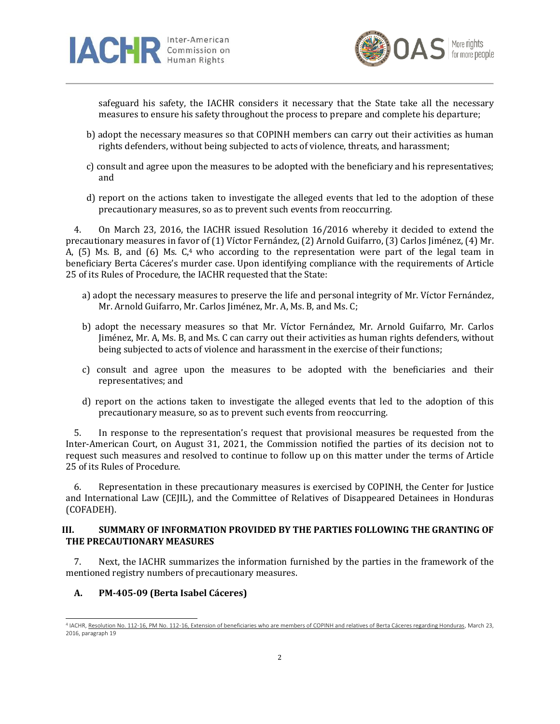



safeguard his safety, the IACHR considers it necessary that the State take all the necessary measures to ensure his safety throughout the process to prepare and complete his departure;

- b) adopt the necessary measures so that COPINH members can carry out their activities as human rights defenders, without being subjected to acts of violence, threats, and harassment;
- c) consult and agree upon the measures to be adopted with the beneficiary and his representatives; and
- d) report on the actions taken to investigate the alleged events that led to the adoption of these precautionary measures, so as to prevent such events from reoccurring.

4. On March 23, 2016, the IACHR issued Resolution 16/2016 whereby it decided to extend the precautionary measures in favor of (1) Víctor Fernández, (2) Arnold Guifarro, (3) Carlos Jiménez, (4) Mr. A, (5) Ms. B, and (6) Ms. C,<sup>4</sup> who according to the representation were part of the legal team in beneficiary Berta Cáceres's murder case. Upon identifying compliance with the requirements of Article 25 of its Rules of Procedure, the IACHR requested that the State:

- a) adopt the necessary measures to preserve the life and personal integrity of Mr. Víctor Fernández, Mr. Arnold Guifarro, Mr. Carlos Jiménez, Mr. A, Ms. B, and Ms. C;
- b) adopt the necessary measures so that Mr. Víctor Fernández, Mr. Arnold Guifarro, Mr. Carlos Jiménez, Mr. A, Ms. B, and Ms. C can carry out their activities as human rights defenders, without being subjected to acts of violence and harassment in the exercise of their functions;
- c) consult and agree upon the measures to be adopted with the beneficiaries and their representatives; and
- d) report on the actions taken to investigate the alleged events that led to the adoption of this precautionary measure, so as to prevent such events from reoccurring.

5. In response to the representation's request that provisional measures be requested from the Inter-American Court, on August 31, 2021, the Commission notified the parties of its decision not to request such measures and resolved to continue to follow up on this matter under the terms of Article 25 of its Rules of Procedure.

6. Representation in these precautionary measures is exercised by COPINH, the Center for Justice and International Law (CEJIL), and the Committee of Relatives of Disappeared Detainees in Honduras (COFADEH).

# **III. SUMMARY OF INFORMATION PROVIDED BY THE PARTIES FOLLOWING THE GRANTING OF THE PRECAUTIONARY MEASURES**

7. Next, the IACHR summarizes the information furnished by the parties in the framework of the mentioned registry numbers of precautionary measures.

# **A. PM-405-09 (Berta Isabel Cáceres)**

<sup>&</sup>lt;sup>4</sup> IACHR, Resolution No. 112-16, PM No. 112-16, [Extension of beneficiaries who are members of COPINH and relatives of Berta Cáceres regarding Honduras,](http://www.oas.org/es/cidh/decisiones/pdf/2016/MC112-16-Es-ampliacion.pdf) March 23, 2016, paragraph 19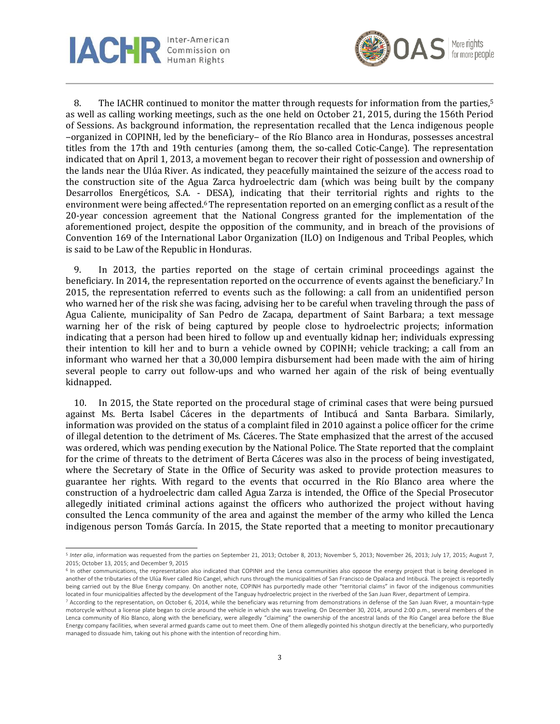



8. The IACHR continued to monitor the matter through requests for information from the parties,<sup>5</sup> as well as calling working meetings, such as the one held on October 21, 2015, during the 156th Period of Sessions. As background information, the representation recalled that the Lenca indigenous people ‒organized in COPINH, led by the beneficiary‒ of the Río Blanco area in Honduras, possesses ancestral titles from the 17th and 19th centuries (among them, the so-called Cotic-Cange). The representation indicated that on April 1, 2013, a movement began to recover their right of possession and ownership of the lands near the Ulúa River. As indicated, they peacefully maintained the seizure of the access road to the construction site of the Agua Zarca hydroelectric dam (which was being built by the company Desarrollos Energéticos, S.A. - DESA), indicating that their territorial rights and rights to the environment were being affected.<sup>6</sup> The representation reported on an emerging conflict as a result of the 20-year concession agreement that the National Congress granted for the implementation of the aforementioned project, despite the opposition of the community, and in breach of the provisions of Convention 169 of the International Labor Organization (ILO) on Indigenous and Tribal Peoples, which is said to be Law of the Republic in Honduras.

9. In 2013, the parties reported on the stage of certain criminal proceedings against the beneficiary. In 2014, the representation reported on the occurrence of events against the beneficiary. <sup>7</sup> In 2015, the representation referred to events such as the following: a call from an unidentified person who warned her of the risk she was facing, advising her to be careful when traveling through the pass of Agua Caliente, municipality of San Pedro de Zacapa, department of Saint Barbara; a text message warning her of the risk of being captured by people close to hydroelectric projects; information indicating that a person had been hired to follow up and eventually kidnap her; individuals expressing their intention to kill her and to burn a vehicle owned by COPINH; vehicle tracking; a call from an informant who warned her that a 30,000 lempira disbursement had been made with the aim of hiring several people to carry out follow-ups and who warned her again of the risk of being eventually kidnapped.

10. In 2015, the State reported on the procedural stage of criminal cases that were being pursued against Ms. Berta Isabel Cáceres in the departments of Intibucá and Santa Barbara. Similarly, information was provided on the status of a complaint filed in 2010 against a police officer for the crime of illegal detention to the detriment of Ms. Cáceres. The State emphasized that the arrest of the accused was ordered, which was pending execution by the National Police. The State reported that the complaint for the crime of threats to the detriment of Berta Cáceres was also in the process of being investigated, where the Secretary of State in the Office of Security was asked to provide protection measures to guarantee her rights. With regard to the events that occurred in the Río Blanco area where the construction of a hydroelectric dam called Agua Zarza is intended, the Office of the Special Prosecutor allegedly initiated criminal actions against the officers who authorized the project without having consulted the Lenca community of the area and against the member of the army who killed the Lenca indigenous person Tomás García. In 2015, the State reported that a meeting to monitor precautionary

<sup>&</sup>lt;sup>5</sup> Inter alia, information was requested from the parties on September 21, 2013; October 8, 2013; November 5, 2013; November 26, 2013; July 17, 2015; August 7, 2015; October 13, 2015; and December 9, 2015

<sup>&</sup>lt;sup>6</sup> In other communications, the representation also indicated that COPINH and the Lenca communities also oppose the energy project that is being developed in another of the tributaries of the Ulúa River called Río Cangel, which runs through the municipalities of San Francisco de Opalaca and Intibucá. The project is reportedly being carried out by the Blue Energy company. On another note, COPINH has purportedly made other "territorial claims" in favor of the indigenous communities located in four municipalities affected by the development of the Tanguay hydroelectric project in the riverbed of the San Juan River, department of Lempira.

 $7$  According to the representation, on October 6, 2014, while the beneficiary was returning from demonstrations in defense of the San Juan River, a mountain-type motorcycle without a license plate began to circle around the vehicle in which she was traveling. On December 30, 2014, around 2:00 p.m., several members of the Lenca community of Río Blanco, along with the beneficiary, were allegedly "claiming" the ownership of the ancestral lands of the Río Cangel area before the Blue Energy company facilities, when several armed guards came out to meet them. One of them allegedly pointed his shotgun directly at the beneficiary, who purportedly managed to dissuade him, taking out his phone with the intention of recording him.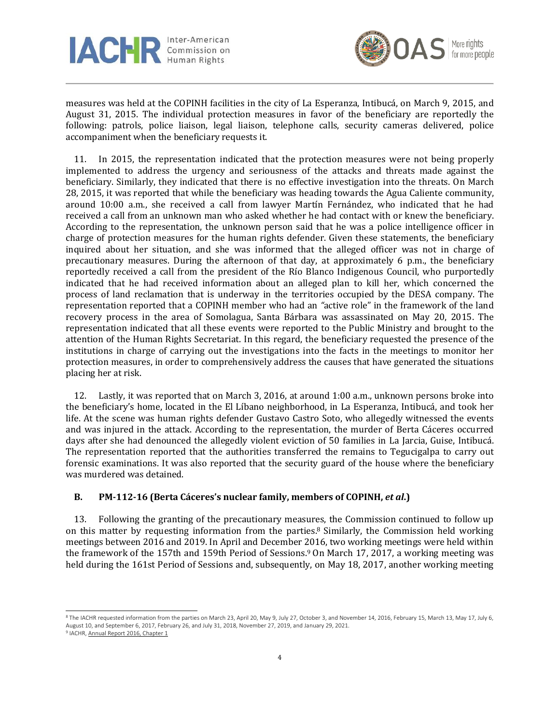



measures was held at the COPINH facilities in the city of La Esperanza, Intibucá, on March 9, 2015, and August 31, 2015. The individual protection measures in favor of the beneficiary are reportedly the following: patrols, police liaison, legal liaison, telephone calls, security cameras delivered, police accompaniment when the beneficiary requests it.

11. In 2015, the representation indicated that the protection measures were not being properly implemented to address the urgency and seriousness of the attacks and threats made against the beneficiary. Similarly, they indicated that there is no effective investigation into the threats. On March 28, 2015, it was reported that while the beneficiary was heading towards the Agua Caliente community, around 10:00 a.m., she received a call from lawyer Martín Fernández, who indicated that he had received a call from an unknown man who asked whether he had contact with or knew the beneficiary. According to the representation, the unknown person said that he was a police intelligence officer in charge of protection measures for the human rights defender. Given these statements, the beneficiary inquired about her situation, and she was informed that the alleged officer was not in charge of precautionary measures. During the afternoon of that day, at approximately 6 p.m., the beneficiary reportedly received a call from the president of the Río Blanco Indigenous Council, who purportedly indicated that he had received information about an alleged plan to kill her, which concerned the process of land reclamation that is underway in the territories occupied by the DESA company. The representation reported that a COPINH member who had an *"*active role" in the framework of the land recovery process in the area of Somolagua, Santa Bárbara was assassinated on May 20, 2015. The representation indicated that all these events were reported to the Public Ministry and brought to the attention of the Human Rights Secretariat. In this regard, the beneficiary requested the presence of the institutions in charge of carrying out the investigations into the facts in the meetings to monitor her protection measures, in order to comprehensively address the causes that have generated the situations placing her at risk.

12. Lastly, it was reported that on March 3, 2016, at around 1:00 a.m., unknown persons broke into the beneficiary's home, located in the El Líbano neighborhood, in La Esperanza, Intibucá, and took her life. At the scene was human rights defender Gustavo Castro Soto, who allegedly witnessed the events and was injured in the attack. According to the representation, the murder of Berta Cáceres occurred days after she had denounced the allegedly violent eviction of 50 families in La Jarcia, Guise, Intibucá. The representation reported that the authorities transferred the remains to Tegucigalpa to carry out forensic examinations. It was also reported that the security guard of the house where the beneficiary was murdered was detained.

# **B. PM-112-16 (Berta Cáceres's nuclear family, members of COPINH,** *et al***.)**

13. Following the granting of the precautionary measures, the Commission continued to follow up on this matter by requesting information from the parties. <sup>8</sup> Similarly, the Commission held working meetings between 2016 and 2019. In April and December 2016, two working meetings were held within the framework of the 157th and 159th Period of Sessions. <sup>9</sup> On March 17, 2017, a working meeting was held during the 161st Period of Sessions and, subsequently, on May 18, 2017, another working meeting

<sup>&</sup>lt;sup>8</sup> The IACHR requested information from the parties on March 23, April 20, May 9, July 27, October 3, and November 14, 2016, February 15, March 13, May 17, July 6, August 10, and September 6, 2017, February 26, and July 31, 2018, November 27, 2019, and January 29, 2021.

<sup>&</sup>lt;sup>9</sup> IACHR[, Annual Report 2016, Chapter 1](https://www.oas.org/es/cidh/docs/anual/2016/docs/InformeAnual2016cap.1-es.pdf)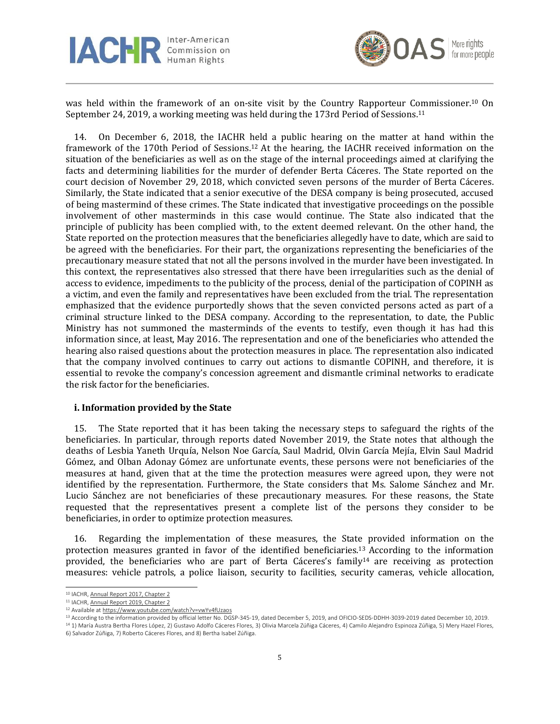



was held within the framework of an on-site visit by the Country Rapporteur Commissioner.<sup>10</sup> On September 24, 2019, a working meeting was held during the 173rd Period of Sessions.<sup>11</sup>

14. On December 6, 2018, the IACHR held a public hearing on the matter at hand within the framework of the 170th Period of Sessions. <sup>12</sup> At the hearing, the IACHR received information on the situation of the beneficiaries as well as on the stage of the internal proceedings aimed at clarifying the facts and determining liabilities for the murder of defender Berta Cáceres. The State reported on the court decision of November 29, 2018, which convicted seven persons of the murder of Berta Cáceres. Similarly, the State indicated that a senior executive of the DESA company is being prosecuted, accused of being mastermind of these crimes. The State indicated that investigative proceedings on the possible involvement of other masterminds in this case would continue. The State also indicated that the principle of publicity has been complied with, to the extent deemed relevant. On the other hand, the State reported on the protection measures that the beneficiaries allegedly have to date, which are said to be agreed with the beneficiaries. For their part, the organizations representing the beneficiaries of the precautionary measure stated that not all the persons involved in the murder have been investigated. In this context, the representatives also stressed that there have been irregularities such as the denial of access to evidence, impediments to the publicity of the process, denial of the participation of COPINH as a victim, and even the family and representatives have been excluded from the trial. The representation emphasized that the evidence purportedly shows that the seven convicted persons acted as part of a criminal structure linked to the DESA company. According to the representation, to date, the Public Ministry has not summoned the masterminds of the events to testify, even though it has had this information since, at least, May 2016. The representation and one of the beneficiaries who attended the hearing also raised questions about the protection measures in place. The representation also indicated that the company involved continues to carry out actions to dismantle COPINH, and therefore, it is essential to revoke the company's concession agreement and dismantle criminal networks to eradicate the risk factor for the beneficiaries.

#### **i. Information provided by the State**

15. The State reported that it has been taking the necessary steps to safeguard the rights of the beneficiaries. In particular, through reports dated November 2019, the State notes that although the deaths of Lesbia Yaneth Urquía, Nelson Noe García, Saul Madrid, Olvin García Mejía, Elvin Saul Madrid Gómez, and Olban Adonay Gómez are unfortunate events, these persons were not beneficiaries of the measures at hand, given that at the time the protection measures were agreed upon, they were not identified by the representation. Furthermore, the State considers that Ms. Salome Sánchez and Mr. Lucio Sánchez are not beneficiaries of these precautionary measures. For these reasons, the State requested that the representatives present a complete list of the persons they consider to be beneficiaries, in order to optimize protection measures.

16. Regarding the implementation of these measures, the State provided information on the protection measures granted in favor of the identified beneficiaries. <sup>13</sup> According to the information provided, the beneficiaries who are part of Berta Cáceres's family<sup>14</sup> are receiving as protection measures: vehicle patrols, a police liaison, security to facilities, security cameras, vehicle allocation,

<sup>10</sup> IACHR[, Annual Report 2017, Chapter 2](https://www.oas.org/es/cidh/docs/anual/2017/docs/IA2017cap.2-es.pdf)

<sup>&</sup>lt;sup>11</sup> IACHR[, Annual Report 2019, Chapter 2](https://www.oas.org/es/cidh/docs/anual/2019/docs/IA2019cap2-es.pdf)

<sup>12</sup> Available a[t https://www.youtube.com/watch?v=vwYv4fUzaos](https://www.youtube.com/watch?v=vwYv4fUzaos)

<sup>13</sup> According to the information provided by official letter No. DGSP-345-19, dated December 5, 2019, and OFICIO-SEDS-DDHH-3039-2019 dated December 10, 2019.

<sup>14</sup> 1) María Austra Bertha Flores López, 2) Gustavo Adolfo Cáceres Flores, 3) Olivia Marcela Zúñiga Cáceres, 4) Camilo Alejandro Espinoza Zúñiga, 5) Mery Hazel Flores, 6) Salvador Zúñiga, 7) Roberto Cáceres Flores, and 8) Bertha Isabel Zúñiga.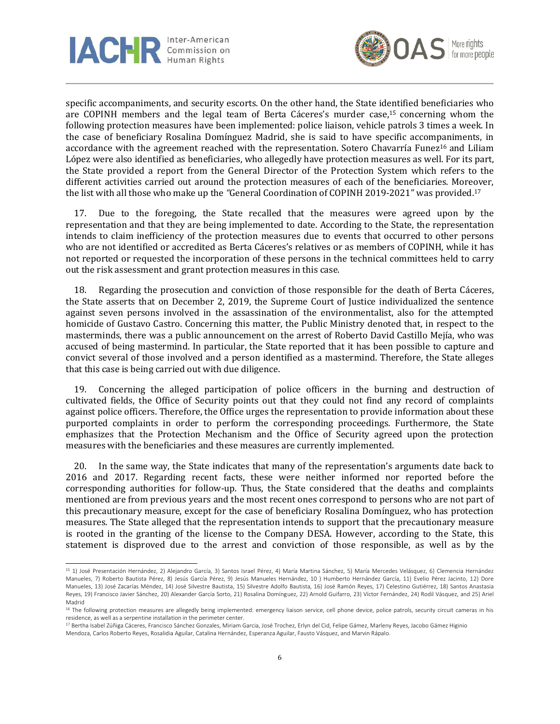



specific accompaniments, and security escorts. On the other hand, the State identified beneficiaries who are COPINH members and the legal team of Berta Cáceres's murder case, <sup>15</sup> concerning whom the following protection measures have been implemented: police liaison, vehicle patrols 3 times a week. In the case of beneficiary Rosalina Domínguez Madrid, she is said to have specific accompaniments, in accordance with the agreement reached with the representation. Sotero Chavarría Funez<sup>16</sup> and Liliam López were also identified as beneficiaries, who allegedly have protection measures as well. For its part, the State provided a report from the General Director of the Protection System which refers to the different activities carried out around the protection measures of each of the beneficiaries. Moreover, the list with all those who make up the *"*General Coordination of COPINH 2019-2021" was provided.<sup>17</sup>

17. Due to the foregoing, the State recalled that the measures were agreed upon by the representation and that they are being implemented to date. According to the State, the representation intends to claim inefficiency of the protection measures due to events that occurred to other persons who are not identified or accredited as Berta Cáceres's relatives or as members of COPINH, while it has not reported or requested the incorporation of these persons in the technical committees held to carry out the risk assessment and grant protection measures in this case.

18. Regarding the prosecution and conviction of those responsible for the death of Berta Cáceres, the State asserts that on December 2, 2019, the Supreme Court of Justice individualized the sentence against seven persons involved in the assassination of the environmentalist, also for the attempted homicide of Gustavo Castro. Concerning this matter, the Public Ministry denoted that, in respect to the masterminds, there was a public announcement on the arrest of Roberto David Castillo Mejía, who was accused of being mastermind. In particular, the State reported that it has been possible to capture and convict several of those involved and a person identified as a mastermind. Therefore, the State alleges that this case is being carried out with due diligence.

19. Concerning the alleged participation of police officers in the burning and destruction of cultivated fields, the Office of Security points out that they could not find any record of complaints against police officers. Therefore, the Office urges the representation to provide information about these purported complaints in order to perform the corresponding proceedings. Furthermore, the State emphasizes that the Protection Mechanism and the Office of Security agreed upon the protection measures with the beneficiaries and these measures are currently implemented.

20. In the same way, the State indicates that many of the representation's arguments date back to 2016 and 2017. Regarding recent facts, these were neither informed nor reported before the corresponding authorities for follow-up. Thus, the State considered that the deaths and complaints mentioned are from previous years and the most recent ones correspond to persons who are not part of this precautionary measure, except for the case of beneficiary Rosalina Domínguez, who has protection measures. The State alleged that the representation intends to support that the precautionary measure is rooted in the granting of the license to the Company DESA. However, according to the State, this statement is disproved due to the arrest and conviction of those responsible, as well as by the

<sup>15</sup> 1) José Presentación Hernández, 2) Alejandro García, 3) Santos Israel Pérez, 4) María Martina Sánchez, 5) María Mercedes Velásquez, 6) Clemencia Hernández Manueles, 7) Roberto Bautista Pérez, 8) Jesús García Pérez, 9) Jesús Manueles Hernández, 10 ) Humberto Hernández García, 11) Evelio Pérez Jacinto, 12) Dore Manueles, 13) José Zacarías Méndez, 14) José Silvestre Bautista, 15) Silvestre Adolfo Bautista, 16) José Ramón Reyes, 17) Celestino Gutiérrez, 18) Santos Anastasia Reyes, 19) Francisco Javier Sánchez, 20) Alexander García Sorto, 21) Rosalina Domínguez, 22) Arnold Guifarro, 23) Víctor Fernández, 24) Rodil Vásquez, and 25) Ariel Madrid

<sup>&</sup>lt;sup>16</sup> The following protection measures are allegedly being implemented: emergency liaison service, cell phone device, police patrols, security circuit cameras in his residence, as well as a serpentine installation in the perimeter center.

<sup>&</sup>lt;sup>17</sup> Bertha Isabel Zúñiga Cáceres, Francisco Sánchez Gonzales, Miriam Garcia, José Trochez, Erlyn del Cid, Felipe Gámez, Marleny Reyes, Jacobo Gámez Higinio

Mendoza, Carlos Roberto Reyes, Rosalidia Aguilar, Catalina Hernández, Esperanza Aguilar, Fausto Vásquez, and Marvin Rápalo.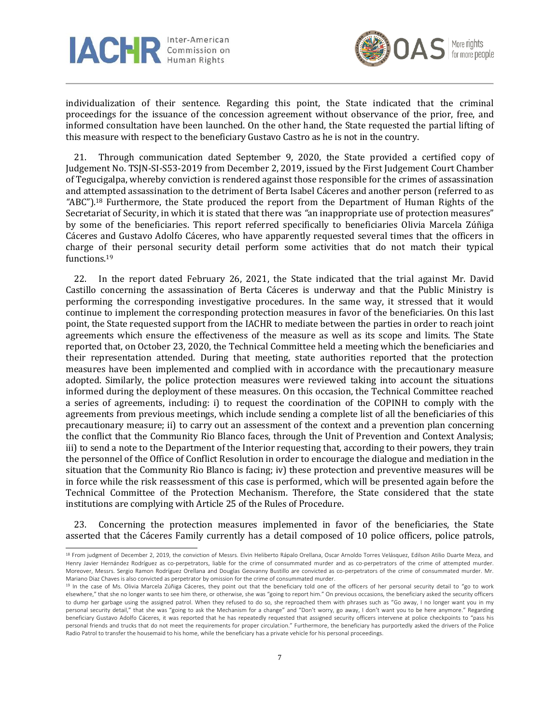



individualization of their sentence. Regarding this point, the State indicated that the criminal proceedings for the issuance of the concession agreement without observance of the prior, free, and informed consultation have been launched. On the other hand, the State requested the partial lifting of this measure with respect to the beneficiary Gustavo Castro as he is not in the country.

21. Through communication dated September 9, 2020, the State provided a certified copy of Judgement No. TSJN-SI-S53-2019 from December 2, 2019, issued by the First Judgement Court Chamber of Tegucigalpa, whereby conviction is rendered against those responsible for the crimes of assassination and attempted assassination to the detriment of Berta Isabel Cáceres and another person (referred to as *"*ABC").<sup>18</sup> Furthermore, the State produced the report from the Department of Human Rights of the Secretariat of Security, in which it is stated that there was *"*an inappropriate use of protection measures" by some of the beneficiaries. This report referred specifically to beneficiaries Olivia Marcela Zúñiga Cáceres and Gustavo Adolfo Cáceres, who have apparently requested several times that the officers in charge of their personal security detail perform some activities that do not match their typical functions.<sup>19</sup>

22. In the report dated February 26, 2021, the State indicated that the trial against Mr. David Castillo concerning the assassination of Berta Cáceres is underway and that the Public Ministry is performing the corresponding investigative procedures. In the same way, it stressed that it would continue to implement the corresponding protection measures in favor of the beneficiaries. On this last point, the State requested support from the IACHR to mediate between the parties in order to reach joint agreements which ensure the effectiveness of the measure as well as its scope and limits. The State reported that, on October 23, 2020, the Technical Committee held a meeting which the beneficiaries and their representation attended. During that meeting, state authorities reported that the protection measures have been implemented and complied with in accordance with the precautionary measure adopted. Similarly, the police protection measures were reviewed taking into account the situations informed during the deployment of these measures. On this occasion, the Technical Committee reached a series of agreements, including: i) to request the coordination of the COPINH to comply with the agreements from previous meetings, which include sending a complete list of all the beneficiaries of this precautionary measure; ii) to carry out an assessment of the context and a prevention plan concerning the conflict that the Community Rio Blanco faces, through the Unit of Prevention and Context Analysis; iii) to send a note to the Department of the Interior requesting that, according to their powers, they train the personnel of the Office of Conflict Resolution in order to encourage the dialogue and mediation in the situation that the Community Rio Blanco is facing; iv) these protection and preventive measures will be in force while the risk reassessment of this case is performed, which will be presented again before the Technical Committee of the Protection Mechanism. Therefore, the State considered that the state institutions are complying with Article 25 of the Rules of Procedure.

23. Concerning the protection measures implemented in favor of the beneficiaries, the State asserted that the Cáceres Family currently has a detail composed of 10 police officers, police patrols,

<sup>18</sup> From judgment of December 2, 2019, the conviction of Messrs. Elvin Heliberto Rápalo Orellana, Oscar Arnoldo Torres Velásquez, Edilson Atilio Duarte Meza, and Henry Javier Hernández Rodríguez as co-perpetrators, liable for the crime of consummated murder and as co-perpetrators of the crime of attempted murder. Moreover, Messrs. Sergio Ramon Rodríguez Orellana and Douglas Geovanny Bustillo are convicted as co-perpetrators of the crime of consummated murder. Mr. Mariano Diaz Chaves is also convicted as perpetrator by omission for the crime of consummated murder.

<sup>&</sup>lt;sup>19</sup> In the case of Ms. Olivia Marcela Zúñiga Cáceres, they point out that the beneficiary told one of the officers of her personal security detail to "go to work elsewhere," that she no longer wants to see him there, or otherwise, she was "going to report him." On previous occasions, the beneficiary asked the security officers to dump her garbage using the assigned patrol. When they refused to do so, she reproached them with phrases such as "Go away, I no longer want you in my personal security detail," that she was "going to ask the Mechanism for a change" and "Don't worry, go away, I don't want you to be here anymore." Regarding beneficiary Gustavo Adolfo Cáceres, it was reported that he has repeatedly requested that assigned security officers intervene at police checkpoints to "pass his personal friends and trucks that do not meet the requirements for proper circulation." Furthermore, the beneficiary has purportedly asked the drivers of the Police Radio Patrol to transfer the housemaid to his home, while the beneficiary has a private vehicle for his personal proceedings.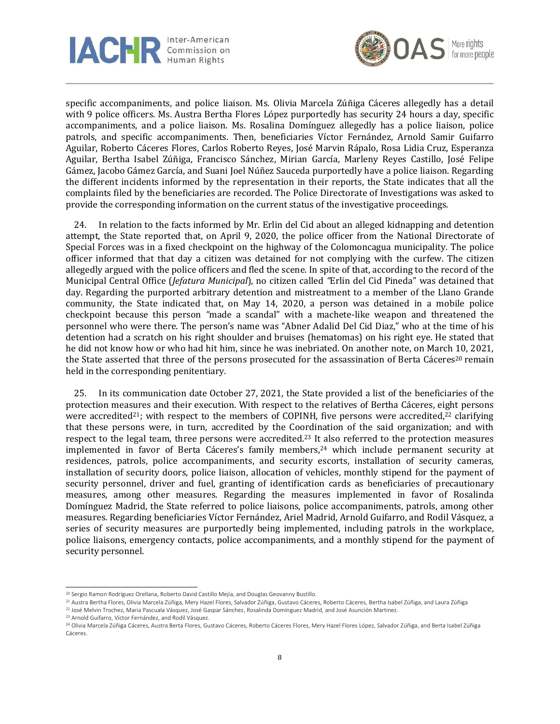



specific accompaniments, and police liaison. Ms. Olivia Marcela Zúñiga Cáceres allegedly has a detail with 9 police officers. Ms. Austra Bertha Flores López purportedly has security 24 hours a day, specific accompaniments, and a police liaison. Ms. Rosalina Domínguez allegedly has a police liaison, police patrols, and specific accompaniments. Then, beneficiaries Víctor Fernández, Arnold Samir Guifarro Aguilar, Roberto Cáceres Flores, Carlos Roberto Reyes, José Marvin Rápalo, Rosa Lidia Cruz, Esperanza Aguilar, Bertha Isabel Zúñiga, Francisco Sánchez, Mirian García, Marleny Reyes Castillo, José Felipe Gámez, Jacobo Gámez García, and Suani Joel Núñez Sauceda purportedly have a police liaison. Regarding the different incidents informed by the representation in their reports, the State indicates that all the complaints filed by the beneficiaries are recorded. The Police Directorate of Investigations was asked to provide the corresponding information on the current status of the investigative proceedings.

24. In relation to the facts informed by Mr. Erlin del Cid about an alleged kidnapping and detention attempt, the State reported that, on April 9, 2020, the police officer from the National Directorate of Special Forces was in a fixed checkpoint on the highway of the Colomoncagua municipality. The police officer informed that that day a citizen was detained for not complying with the curfew. The citizen allegedly argued with the police officers and fled the scene. In spite of that, according to the record of the Municipal Central Office (*Jefatura Municipal*), no citizen called *"*Erlin del Cid Pineda" was detained that day. Regarding the purported arbitrary detention and mistreatment to a member of the Llano Grande community, the State indicated that, on May 14, 2020, a person was detained in a mobile police checkpoint because this person *"*made a scandal" with a machete-like weapon and threatened the personnel who were there. The person's name was "Abner Adalid Del Cid Diaz," who at the time of his detention had a scratch on his right shoulder and bruises (hematomas) on his right eye. He stated that he did not know how or who had hit him, since he was inebriated. On another note, on March 10, 2021, the State asserted that three of the persons prosecuted for the assassination of Berta Cáceres<sup>20</sup> remain held in the corresponding penitentiary.

25. In its communication date October 27, 2021, the State provided a list of the beneficiaries of the protection measures and their execution. With respect to the relatives of Bertha Cáceres, eight persons were accredited<sup>21</sup>; with respect to the members of COPINH, five persons were accredited,<sup>22</sup> clarifying that these persons were, in turn, accredited by the Coordination of the said organization; and with respect to the legal team, three persons were accredited.<sup>23</sup> It also referred to the protection measures implemented in favor of Berta Cáceres's family members,<sup>24</sup> which include permanent security at residences, patrols, police accompaniments, and security escorts, installation of security cameras, installation of security doors, police liaison, allocation of vehicles, monthly stipend for the payment of security personnel, driver and fuel, granting of identification cards as beneficiaries of precautionary measures, among other measures. Regarding the measures implemented in favor of Rosalinda Domínguez Madrid, the State referred to police liaisons, police accompaniments, patrols, among other measures. Regarding beneficiaries Víctor Fernández, Ariel Madrid, Arnold Guifarro, and Rodil Vásquez, a series of security measures are purportedly being implemented, including patrols in the workplace, police liaisons, emergency contacts, police accompaniments, and a monthly stipend for the payment of security personnel.

<sup>&</sup>lt;sup>20</sup> Sergio Ramon Rodríguez Orellana, Roberto David Castillo Mejía, and Douglas Geovanny Bustillo.

<sup>&</sup>lt;sup>21</sup> Austra Bertha Flores, Olivia Marcela Zúñiga, Mery Hazel Flores, Salvador Zúñiga, Gustavo Cáceres, Roberto Cáceres, Bertha Isabel Zúñiga, and Laura Zúñiga

<sup>22</sup> José Melvin Trochez, Maria Pascuala Vásquez, José Gaspar Sánchez, Rosalinda Domínguez Madrid, and José Asunción Martinez.

<sup>23</sup> Arnold Guifarro, Víctor Fernández, and Rodil Vásquez.

<sup>&</sup>lt;sup>24</sup> Olivia Marcela Zúñiga Cáceres, Austra Berta Flores, Gustavo Cáceres, Roberto Cáceres Flores, Mery Hazel Flores López, Salvador Zúñiga, and Berta Isabel Zúñiga Cáceres.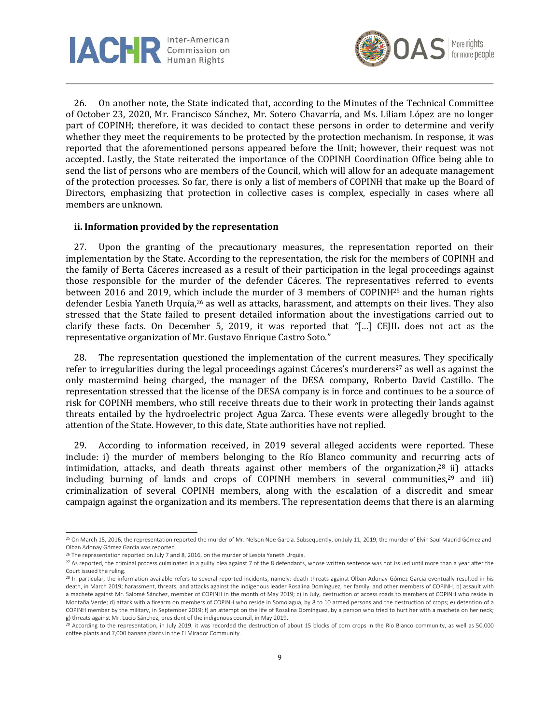



26. On another note, the State indicated that, according to the Minutes of the Technical Committee of October 23, 2020, Mr. Francisco Sánchez, Mr. Sotero Chavarría, and Ms. Liliam López are no longer part of COPINH; therefore, it was decided to contact these persons in order to determine and verify whether they meet the requirements to be protected by the protection mechanism. In response, it was reported that the aforementioned persons appeared before the Unit; however, their request was not accepted. Lastly, the State reiterated the importance of the COPINH Coordination Office being able to send the list of persons who are members of the Council, which will allow for an adequate management of the protection processes. So far, there is only a list of members of COPINH that make up the Board of Directors, emphasizing that protection in collective cases is complex, especially in cases where all members are unknown.

#### **ii. Information provided by the representation**

27. Upon the granting of the precautionary measures, the representation reported on their implementation by the State. According to the representation, the risk for the members of COPINH and the family of Berta Cáceres increased as a result of their participation in the legal proceedings against those responsible for the murder of the defender Cáceres. The representatives referred to events between 2016 and 2019, which include the murder of 3 members of COPINH<sup>25</sup> and the human rights defender Lesbia Yaneth Urquía,<sup>26</sup> as well as attacks, harassment, and attempts on their lives. They also stressed that the State failed to present detailed information about the investigations carried out to clarify these facts. On December 5, 2019, it was reported that *"*[…] CEJIL does not act as the representative organization of Mr. Gustavo Enrique Castro Soto."

28. The representation questioned the implementation of the current measures. They specifically refer to irregularities during the legal proceedings against Cáceres's murderers<sup>27</sup> as well as against the only mastermind being charged, the manager of the DESA company, Roberto David Castillo. The representation stressed that the license of the DESA company is in force and continues to be a source of risk for COPINH members, who still receive threats due to their work in protecting their lands against threats entailed by the hydroelectric project Agua Zarca. These events were allegedly brought to the attention of the State. However, to this date, State authorities have not replied.

29. According to information received, in 2019 several alleged accidents were reported. These include: i) the murder of members belonging to the Río Blanco community and recurring acts of intimidation, attacks, and death threats against other members of the organization,<sup>28</sup> ii) attacks including burning of lands and crops of COPINH members in several communities, <sup>29</sup> and iii) criminalization of several COPINH members, along with the escalation of a discredit and smear campaign against the organization and its members. The representation deems that there is an alarming

 $^{25}$  On March 15, 2016, the representation reported the murder of Mr. Nelson Noe Garcia. Subsequently, on July 11, 2019, the murder of Elvin Saul Madrid Gómez and Olban Adonay Gómez Garcia was reported.

<sup>&</sup>lt;sup>26</sup> The representation reported on July 7 and 8, 2016, on the murder of Lesbia Yaneth Urquía.

 $27$  As reported, the criminal process culminated in a guilty plea against 7 of the 8 defendants, whose written sentence was not issued until more than a year after the Court issued the ruling.

<sup>28</sup> In particular, the information available refers to several reported incidents, namely: death threats against Olban Adonay Gómez Garcia eventually resulted in his death, in March 2019; harassment, threats, and attacks against the indigenous leader Rosalina Domínguez, her family, and other members of COPINH; b) assault with a machete against Mr. Salomé Sánchez, member of COPINH in the month of May 2019; c) in July, destruction of access roads to members of COPINH who reside in Montaña Verde; d) attack with a firearm on members of COPINH who reside in Somolagua, by 8 to 10 armed persons and the destruction of crops; e) detention of a COPINH member by the military, in September 2019; f) an attempt on the life of Rosalina Domínguez, by a person who tried to hurt her with a machete on her neck; g) threats against Mr. Lucio Sánchez, president of the indigenous council, in May 2019.

 $^{29}$  According to the representation, in July 2019, it was recorded the destruction of about 15 blocks of corn crops in the Rio Blanco community, as well as 50,000 coffee plants and 7,000 banana plants in the El Mirador Community.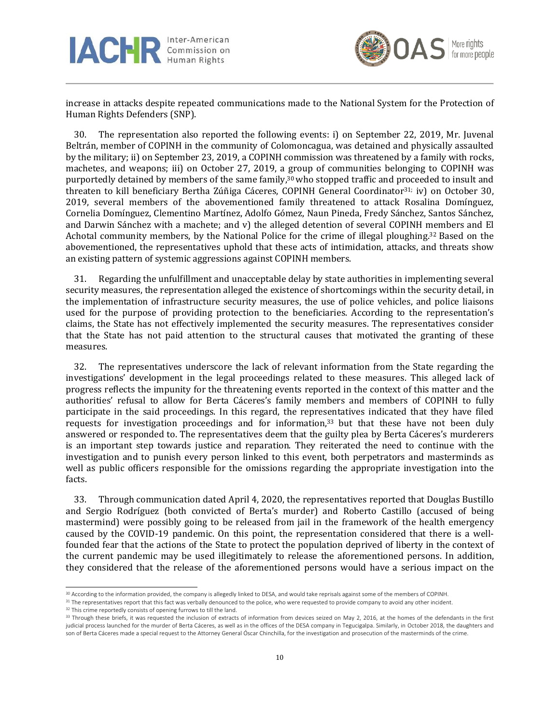



increase in attacks despite repeated communications made to the National System for the Protection of Human Rights Defenders (SNP).

30. The representation also reported the following events: i) on September 22, 2019, Mr. Juvenal Beltrán, member of COPINH in the community of Colomoncagua, was detained and physically assaulted by the military; ii) on September 23, 2019, a COPINH commission was threatened by a family with rocks, machetes, and weapons; iii) on October 27, 2019, a group of communities belonging to COPINH was purportedly detained by members of the same family, <sup>30</sup> who stopped traffic and proceeded to insult and threaten to kill beneficiary Bertha Zúñiga Cáceres, COPINH General Coordinator<sup>31;</sup> iv) on October 30, 2019, several members of the abovementioned family threatened to attack Rosalina Domínguez, Cornelia Domínguez, Clementino Martínez, Adolfo Gómez, Naun Pineda, Fredy Sánchez, Santos Sánchez, and Darwin Sánchez with a machete; and v) the alleged detention of several COPINH members and El Achotal community members, by the National Police for the crime of illegal ploughing.<sup>32</sup> Based on the abovementioned, the representatives uphold that these acts of intimidation, attacks, and threats show an existing pattern of systemic aggressions against COPINH members.

31. Regarding the unfulfillment and unacceptable delay by state authorities in implementing several security measures, the representation alleged the existence of shortcomings within the security detail, in the implementation of infrastructure security measures, the use of police vehicles, and police liaisons used for the purpose of providing protection to the beneficiaries. According to the representation's claims, the State has not effectively implemented the security measures. The representatives consider that the State has not paid attention to the structural causes that motivated the granting of these measures.

32. The representatives underscore the lack of relevant information from the State regarding the investigations' development in the legal proceedings related to these measures. This alleged lack of progress reflects the impunity for the threatening events reported in the context of this matter and the authorities' refusal to allow for Berta Cáceres's family members and members of COPINH to fully participate in the said proceedings. In this regard, the representatives indicated that they have filed requests for investigation proceedings and for information,<sup>33</sup> but that these have not been duly answered or responded to. The representatives deem that the guilty plea by Berta Cáceres's murderers is an important step towards justice and reparation. They reiterated the need to continue with the investigation and to punish every person linked to this event, both perpetrators and masterminds as well as public officers responsible for the omissions regarding the appropriate investigation into the facts.

33. Through communication dated April 4, 2020, the representatives reported that Douglas Bustillo and Sergio Rodríguez (both convicted of Berta's murder) and Roberto Castillo (accused of being mastermind) were possibly going to be released from jail in the framework of the health emergency caused by the COVID-19 pandemic. On this point, the representation considered that there is a wellfounded fear that the actions of the State to protect the population deprived of liberty in the context of the current pandemic may be used illegitimately to release the aforementioned persons. In addition, they considered that the release of the aforementioned persons would have a serious impact on the

<sup>30</sup> According to the information provided, the company is allegedly linked to DESA, and would take reprisals against some of the members of COPINH.

<sup>&</sup>lt;sup>31</sup> The representatives report that this fact was verbally denounced to the police, who were requested to provide company to avoid any other incident.

<sup>&</sup>lt;sup>32</sup> This crime reportedly consists of opening furrows to till the land.

<sup>&</sup>lt;sup>33</sup> Through these briefs, it was requested the inclusion of extracts of information from devices seized on May 2, 2016, at the homes of the defendants in the first judicial process launched for the murder of Berta Cáceres, as well as in the offices of the DESA company in Tegucigalpa. Similarly, in October 2018, the daughters and son of Berta Cáceres made a special request to the Attorney General Óscar Chinchilla, for the investigation and prosecution of the masterminds of the crime.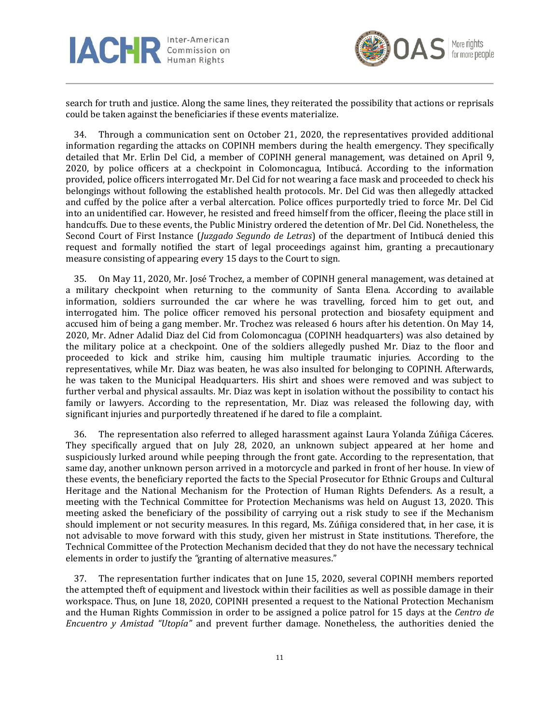



search for truth and justice. Along the same lines, they reiterated the possibility that actions or reprisals could be taken against the beneficiaries if these events materialize.

34. Through a communication sent on October 21, 2020, the representatives provided additional information regarding the attacks on COPINH members during the health emergency. They specifically detailed that Mr. Erlin Del Cid, a member of COPINH general management, was detained on April 9, 2020, by police officers at a checkpoint in Colomoncagua, Intibucá. According to the information provided, police officers interrogated Mr. Del Cid for not wearing a face mask and proceeded to check his belongings without following the established health protocols. Mr. Del Cid was then allegedly attacked and cuffed by the police after a verbal altercation. Police offices purportedly tried to force Mr. Del Cid into an unidentified car. However, he resisted and freed himself from the officer, fleeing the place still in handcuffs. Due to these events, the Public Ministry ordered the detention of Mr. Del Cid. Nonetheless, the Second Court of First Instance (*Juzgado Segundo de Letras*) of the department of Intibucá denied this request and formally notified the start of legal proceedings against him, granting a precautionary measure consisting of appearing every 15 days to the Court to sign.

35. On May 11, 2020, Mr. José Trochez, a member of COPINH general management, was detained at a military checkpoint when returning to the community of Santa Elena. According to available information, soldiers surrounded the car where he was travelling, forced him to get out, and interrogated him. The police officer removed his personal protection and biosafety equipment and accused him of being a gang member. Mr. Trochez was released 6 hours after his detention. On May 14, 2020, Mr. Adner Adalid Diaz del Cid from Colomoncagua (COPINH headquarters) was also detained by the military police at a checkpoint. One of the soldiers allegedly pushed Mr. Diaz to the floor and proceeded to kick and strike him, causing him multiple traumatic injuries. According to the representatives, while Mr. Diaz was beaten, he was also insulted for belonging to COPINH. Afterwards, he was taken to the Municipal Headquarters. His shirt and shoes were removed and was subject to further verbal and physical assaults. Mr. Diaz was kept in isolation without the possibility to contact his family or lawyers. According to the representation, Mr. Diaz was released the following day, with significant injuries and purportedly threatened if he dared to file a complaint.

36. The representation also referred to alleged harassment against Laura Yolanda Zúñiga Cáceres. They specifically argued that on July 28, 2020, an unknown subject appeared at her home and suspiciously lurked around while peeping through the front gate. According to the representation, that same day, another unknown person arrived in a motorcycle and parked in front of her house. In view of these events, the beneficiary reported the facts to the Special Prosecutor for Ethnic Groups and Cultural Heritage and the National Mechanism for the Protection of Human Rights Defenders. As a result, a meeting with the Technical Committee for Protection Mechanisms was held on August 13, 2020. This meeting asked the beneficiary of the possibility of carrying out a risk study to see if the Mechanism should implement or not security measures. In this regard, Ms. Zúñiga considered that, in her case, it is not advisable to move forward with this study, given her mistrust in State institutions. Therefore, the Technical Committee of the Protection Mechanism decided that they do not have the necessary technical elements in order to justify the *"*granting of alternative measures."

37. The representation further indicates that on June 15, 2020, several COPINH members reported the attempted theft of equipment and livestock within their facilities as well as possible damage in their workspace. Thus, on June 18, 2020, COPINH presented a request to the National Protection Mechanism and the Human Rights Commission in order to be assigned a police patrol for 15 days at the *Centro de Encuentro y Amistad "Utopía"* and prevent further damage. Nonetheless, the authorities denied the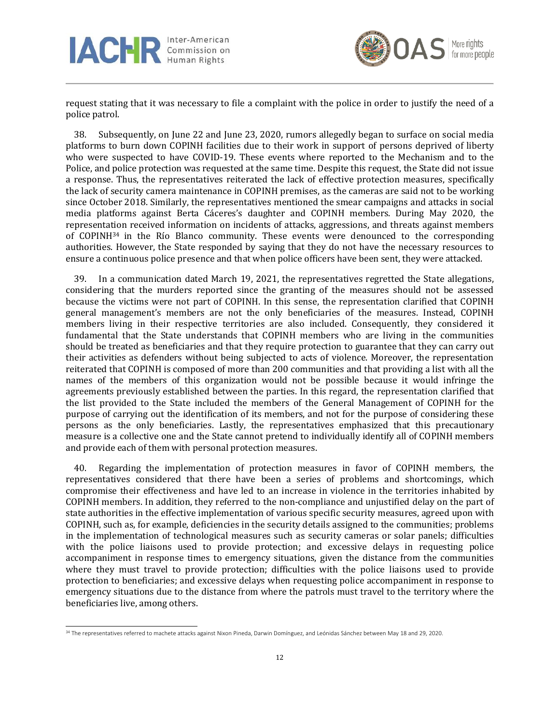



request stating that it was necessary to file a complaint with the police in order to justify the need of a police patrol.

38. Subsequently, on June 22 and June 23, 2020, rumors allegedly began to surface on social media platforms to burn down COPINH facilities due to their work in support of persons deprived of liberty who were suspected to have COVID-19. These events where reported to the Mechanism and to the Police, and police protection was requested at the same time. Despite this request, the State did not issue a response. Thus, the representatives reiterated the lack of effective protection measures, specifically the lack of security camera maintenance in COPINH premises, as the cameras are said not to be working since October 2018. Similarly, the representatives mentioned the smear campaigns and attacks in social media platforms against Berta Cáceres's daughter and COPINH members. During May 2020, the representation received information on incidents of attacks, aggressions, and threats against members of COPINH<sup>34</sup> in the Río Blanco community. These events were denounced to the corresponding authorities. However, the State responded by saying that they do not have the necessary resources to ensure a continuous police presence and that when police officers have been sent, they were attacked.

39. In a communication dated March 19, 2021, the representatives regretted the State allegations, considering that the murders reported since the granting of the measures should not be assessed because the victims were not part of COPINH. In this sense, the representation clarified that COPINH general management's members are not the only beneficiaries of the measures. Instead, COPINH members living in their respective territories are also included. Consequently, they considered it fundamental that the State understands that COPINH members who are living in the communities should be treated as beneficiaries and that they require protection to guarantee that they can carry out their activities as defenders without being subjected to acts of violence. Moreover, the representation reiterated that COPINH is composed of more than 200 communities and that providing a list with all the names of the members of this organization would not be possible because it would infringe the agreements previously established between the parties. In this regard, the representation clarified that the list provided to the State included the members of the General Management of COPINH for the purpose of carrying out the identification of its members, and not for the purpose of considering these persons as the only beneficiaries. Lastly, the representatives emphasized that this precautionary measure is a collective one and the State cannot pretend to individually identify all of COPINH members and provide each of them with personal protection measures.

40. Regarding the implementation of protection measures in favor of COPINH members, the representatives considered that there have been a series of problems and shortcomings, which compromise their effectiveness and have led to an increase in violence in the territories inhabited by COPINH members. In addition, they referred to the non-compliance and unjustified delay on the part of state authorities in the effective implementation of various specific security measures, agreed upon with COPINH, such as, for example, deficiencies in the security details assigned to the communities; problems in the implementation of technological measures such as security cameras or solar panels; difficulties with the police liaisons used to provide protection; and excessive delays in requesting police accompaniment in response times to emergency situations, given the distance from the communities where they must travel to provide protection; difficulties with the police liaisons used to provide protection to beneficiaries; and excessive delays when requesting police accompaniment in response to emergency situations due to the distance from where the patrols must travel to the territory where the beneficiaries live, among others.

<sup>34</sup> The representatives referred to machete attacks against Nixon Pineda, Darwin Domínguez, and Leónidas Sánchez between May 18 and 29, 2020.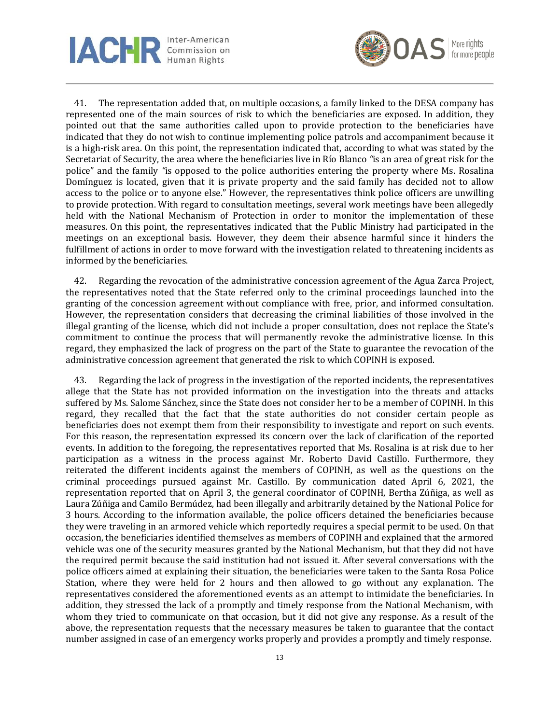



41. The representation added that, on multiple occasions, a family linked to the DESA company has represented one of the main sources of risk to which the beneficiaries are exposed. In addition, they pointed out that the same authorities called upon to provide protection to the beneficiaries have indicated that they do not wish to continue implementing police patrols and accompaniment because it is a high-risk area. On this point, the representation indicated that, according to what was stated by the Secretariat of Security, the area where the beneficiaries live in Río Blanco *"*is an area of great risk for the police" and the family *"*is opposed to the police authorities entering the property where Ms. Rosalina Domínguez is located, given that it is private property and the said family has decided not to allow access to the police or to anyone else." However, the representatives think police officers are unwilling to provide protection. With regard to consultation meetings, several work meetings have been allegedly held with the National Mechanism of Protection in order to monitor the implementation of these measures. On this point, the representatives indicated that the Public Ministry had participated in the meetings on an exceptional basis. However, they deem their absence harmful since it hinders the fulfillment of actions in order to move forward with the investigation related to threatening incidents as informed by the beneficiaries.

42. Regarding the revocation of the administrative concession agreement of the Agua Zarca Project, the representatives noted that the State referred only to the criminal proceedings launched into the granting of the concession agreement without compliance with free, prior, and informed consultation. However, the representation considers that decreasing the criminal liabilities of those involved in the illegal granting of the license, which did not include a proper consultation, does not replace the State's commitment to continue the process that will permanently revoke the administrative license. In this regard, they emphasized the lack of progress on the part of the State to guarantee the revocation of the administrative concession agreement that generated the risk to which COPINH is exposed.

43. Regarding the lack of progress in the investigation of the reported incidents, the representatives allege that the State has not provided information on the investigation into the threats and attacks suffered by Ms. Salome Sánchez, since the State does not consider her to be a member of COPINH. In this regard, they recalled that the fact that the state authorities do not consider certain people as beneficiaries does not exempt them from their responsibility to investigate and report on such events. For this reason, the representation expressed its concern over the lack of clarification of the reported events. In addition to the foregoing, the representatives reported that Ms. Rosalina is at risk due to her participation as a witness in the process against Mr. Roberto David Castillo. Furthermore, they reiterated the different incidents against the members of COPINH, as well as the questions on the criminal proceedings pursued against Mr. Castillo. By communication dated April 6, 2021, the representation reported that on April 3, the general coordinator of COPINH, Bertha Zúñiga, as well as Laura Zúñiga and Camilo Bermúdez, had been illegally and arbitrarily detained by the National Police for 3 hours. According to the information available, the police officers detained the beneficiaries because they were traveling in an armored vehicle which reportedly requires a special permit to be used. On that occasion, the beneficiaries identified themselves as members of COPINH and explained that the armored vehicle was one of the security measures granted by the National Mechanism, but that they did not have the required permit because the said institution had not issued it. After several conversations with the police officers aimed at explaining their situation, the beneficiaries were taken to the Santa Rosa Police Station, where they were held for 2 hours and then allowed to go without any explanation. The representatives considered the aforementioned events as an attempt to intimidate the beneficiaries. In addition, they stressed the lack of a promptly and timely response from the National Mechanism, with whom they tried to communicate on that occasion, but it did not give any response. As a result of the above, the representation requests that the necessary measures be taken to guarantee that the contact number assigned in case of an emergency works properly and provides a promptly and timely response.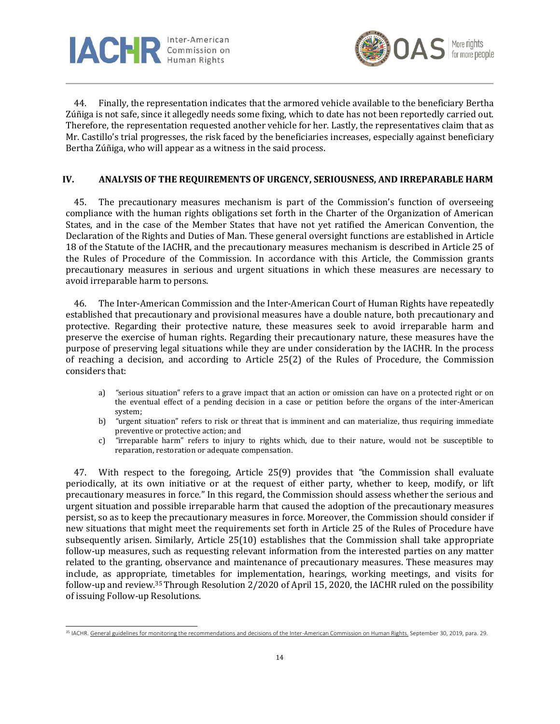



44. Finally, the representation indicates that the armored vehicle available to the beneficiary Bertha Zúñiga is not safe, since it allegedly needs some fixing, which to date has not been reportedly carried out. Therefore, the representation requested another vehicle for her. Lastly, the representatives claim that as Mr. Castillo's trial progresses, the risk faced by the beneficiaries increases, especially against beneficiary Bertha Zúñiga, who will appear as a witness in the said process.

### **IV. ANALYSIS OF THE REQUIREMENTS OF URGENCY, SERIOUSNESS, AND IRREPARABLE HARM**

45. The precautionary measures mechanism is part of the Commission's function of overseeing compliance with the human rights obligations set forth in the Charter of the Organization of American States, and in the case of the Member States that have not yet ratified the American Convention, the Declaration of the Rights and Duties of Man. These general oversight functions are established in Article 18 of the Statute of the IACHR, and the precautionary measures mechanism is described in Article 25 of the Rules of Procedure of the Commission. In accordance with this Article, the Commission grants precautionary measures in serious and urgent situations in which these measures are necessary to avoid irreparable harm to persons.

46. The Inter-American Commission and the Inter-American Court of Human Rights have repeatedly established that precautionary and provisional measures have a double nature, both precautionary and protective. Regarding their protective nature, these measures seek to avoid irreparable harm and preserve the exercise of human rights. Regarding their precautionary nature, these measures have the purpose of preserving legal situations while they are under consideration by the IACHR. In the process of reaching a decision, and according to Article 25(2) of the Rules of Procedure, the Commission considers that:

- a) *"*serious situation" refers to a grave impact that an action or omission can have on a protected right or on the eventual effect of a pending decision in a case or petition before the organs of the inter-American system;
- b) *"*urgent situation" refers to risk or threat that is imminent and can materialize, thus requiring immediate preventive or protective action; and
- c) *"*irreparable harm" refers to injury to rights which, due to their nature, would not be susceptible to reparation, restoration or adequate compensation.

47. With respect to the foregoing, Article 25(9) provides that *"*the Commission shall evaluate periodically, at its own initiative or at the request of either party, whether to keep, modify, or lift precautionary measures in force." In this regard, the Commission should assess whether the serious and urgent situation and possible irreparable harm that caused the adoption of the precautionary measures persist, so as to keep the precautionary measures in force. Moreover, the Commission should consider if new situations that might meet the requirements set forth in Article 25 of the Rules of Procedure have subsequently arisen. Similarly, Article 25(10) establishes that the Commission shall take appropriate follow-up measures, such as requesting relevant information from the interested parties on any matter related to the granting, observance and maintenance of precautionary measures. These measures may include, as appropriate, timetables for implementation, hearings, working meetings, and visits for follow-up and review. <sup>35</sup> Through Resolution 2/2020 of April 15, 2020, the IACHR ruled on the possibility of issuing Follow-up Resolutions.

<sup>&</sup>lt;sup>35</sup> IACHR[. General guidelines for monitoring the recommendations and decisions of the Inter-American Commission on Human Rights.](https://www.oas.org/es/cidh/actividades/seguimiento/pdf/Directrices-es.pdf) September 30, 2019, para. 29.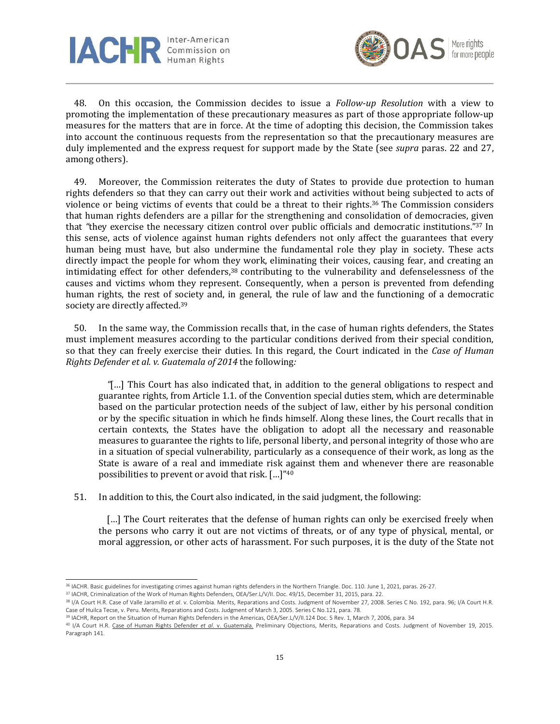



48. On this occasion, the Commission decides to issue a *Follow-up Resolution* with a view to promoting the implementation of these precautionary measures as part of those appropriate follow-up measures for the matters that are in force. At the time of adopting this decision, the Commission takes into account the continuous requests from the representation so that the precautionary measures are duly implemented and the express request for support made by the State (see *supra* paras. 22 and 27, among others).

49. Moreover, the Commission reiterates the duty of States to provide due protection to human rights defenders so that they can carry out their work and activities without being subjected to acts of violence or being victims of events that could be a threat to their rights. <sup>36</sup> The Commission considers that human rights defenders are a pillar for the strengthening and consolidation of democracies, given that *"*they exercise the necessary citizen control over public officials and democratic institutions." <sup>37</sup> In this sense, acts of violence against human rights defenders not only affect the guarantees that every human being must have, but also undermine the fundamental role they play in society. These acts directly impact the people for whom they work, eliminating their voices, causing fear, and creating an intimidating effect for other defenders, <sup>38</sup> contributing to the vulnerability and defenselessness of the causes and victims whom they represent. Consequently, when a person is prevented from defending human rights, the rest of society and, in general, the rule of law and the functioning of a democratic society are directly affected.<sup>39</sup>

50. In the same way, the Commission recalls that, in the case of human rights defenders, the States must implement measures according to the particular conditions derived from their special condition, so that they can freely exercise their duties. In this regard, the Court indicated in the *Case of Human Rights Defender et al. v. Guatemala of 2014* the following*:* 

*"*[…] This Court has also indicated that, in addition to the general obligations to respect and guarantee rights, from Article 1.1. of the Convention special duties stem, which are determinable based on the particular protection needs of the subject of law, either by his personal condition or by the specific situation in which he finds himself. Along these lines, the Court recalls that in certain contexts, the States have the obligation to adopt all the necessary and reasonable measures to guarantee the rights to life, personal liberty, and personal integrity of those who are in a situation of special vulnerability, particularly as a consequence of their work, as long as the State is aware of a real and immediate risk against them and whenever there are reasonable possibilities to prevent or avoid that risk. […]" 40

51. In addition to this, the Court also indicated, in the said judgment, the following:

[...] The Court reiterates that the defense of human rights can only be exercised freely when the persons who carry it out are not victims of threats, or of any type of physical, mental, or moral aggression, or other acts of harassment. For such purposes, it is the duty of the State not

<sup>36</sup> IACHR. Basic guidelines for investigating crimes against human rights defenders in the Northern Triangle. Doc. 110. June 1, 2021, paras. 26-27.

<sup>37</sup> IACHR, Criminalization of the Work of Human Rights Defenders, OEA/Ser.L/V/II. Doc. 49/15, December 31, 2015, para. 22.

<sup>38</sup> I/A Court H.R. Case of Valle Jaramillo et al. v. Colombia. Merits, Reparations and Costs. Judgment of November 27, 2008. Series C No. 192, para. 96; I/A Court H.R. Case of Huilca Tecse, v. Peru. Merits, Reparations and Costs. Judgment of March 3, 2005. Series C No.121, para. 78.

<sup>&</sup>lt;sup>39</sup> IACHR, Report on the Situation of Human Rights Defenders in the Americas, OEA/Ser.L/V/II.124 Doc. 5 Rev. 1, March 7, 2006, para. 34

<sup>40</sup> I/A Court H.R. [Case of Human Rights Defender](https://www.corteidh.or.cr/docs/casos/articulos/seriec_283_esp.pdf) *et al*. v. Guatemala. Preliminary Objections, Merits, Reparations and Costs. Judgment of November 19, 2015. Paragraph 141.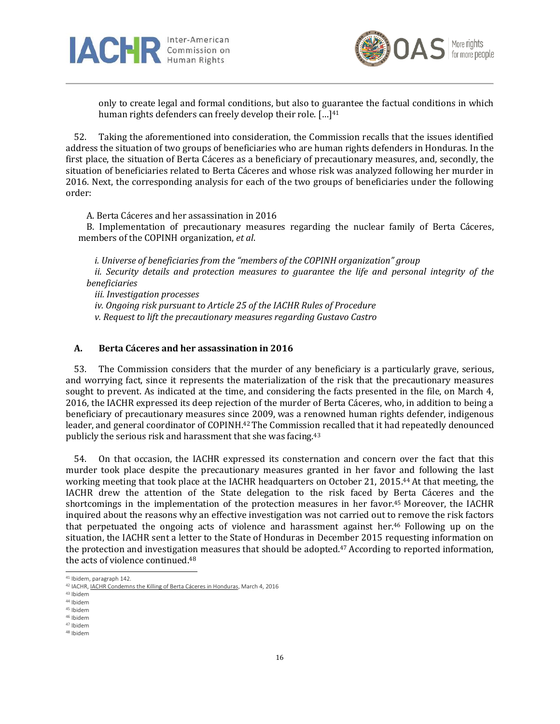



only to create legal and formal conditions, but also to guarantee the factual conditions in which human rights defenders can freely develop their role. [...]<sup>41</sup>

52. Taking the aforementioned into consideration, the Commission recalls that the issues identified address the situation of two groups of beneficiaries who are human rights defenders in Honduras. In the first place, the situation of Berta Cáceres as a beneficiary of precautionary measures, and, secondly, the situation of beneficiaries related to Berta Cáceres and whose risk was analyzed following her murder in 2016. Next, the corresponding analysis for each of the two groups of beneficiaries under the following order:

A. Berta Cáceres and her assassination in 2016

B. Implementation of precautionary measures regarding the nuclear family of Berta Cáceres, members of the COPINH organization, *et al*.

*i. Universe of beneficiaries from the "members of the COPINH organization" group* ii. Security details and protection measures to guarantee the life and personal integrity of the *beneficiaries* 

*iii. Investigation processes iv. Ongoing risk pursuant to Article 25 of the IACHR Rules of Procedure v. Request to lift the precautionary measures regarding Gustavo Castro*

# **A. Berta Cáceres and her assassination in 2016**

53. The Commission considers that the murder of any beneficiary is a particularly grave, serious, and worrying fact, since it represents the materialization of the risk that the precautionary measures sought to prevent. As indicated at the time, and considering the facts presented in the file, on March 4, 2016, the IACHR expressed its deep rejection of the murder of Berta Cáceres, who, in addition to being a beneficiary of precautionary measures since 2009, was a renowned human rights defender, indigenous leader, and general coordinator of COPINH.<sup>42</sup> The Commission recalled that it had repeatedly denounced publicly the serious risk and harassment that she was facing.<sup>43</sup>

54. On that occasion, the IACHR expressed its consternation and concern over the fact that this murder took place despite the precautionary measures granted in her favor and following the last working meeting that took place at the IACHR headquarters on October 21, 2015. <sup>44</sup> At that meeting, the IACHR drew the attention of the State delegation to the risk faced by Berta Cáceres and the shortcomings in the implementation of the protection measures in her favor. <sup>45</sup> Moreover, the IACHR inquired about the reasons why an effective investigation was not carried out to remove the risk factors that perpetuated the ongoing acts of violence and harassment against her.<sup>46</sup> Following up on the situation, the IACHR sent a letter to the State of Honduras in December 2015 requesting information on the protection and investigation measures that should be adopted.<sup>47</sup> According to reported information, the acts of violence continued. 48

<sup>41</sup> Ibidem, paragraph 142.

<sup>42</sup> IACHR, IACHR Condemns the [Killing of Berta Cáceres in Honduras,](https://www.oas.org/es/cidh/prensa/comunicados/2016/024.asp) March 4, 2016

<sup>43</sup> Ibidem

<sup>44</sup> Ibidem <sup>45</sup> Ibidem

<sup>46</sup> Ibidem

<sup>47</sup> Ibidem

<sup>48</sup> Ibidem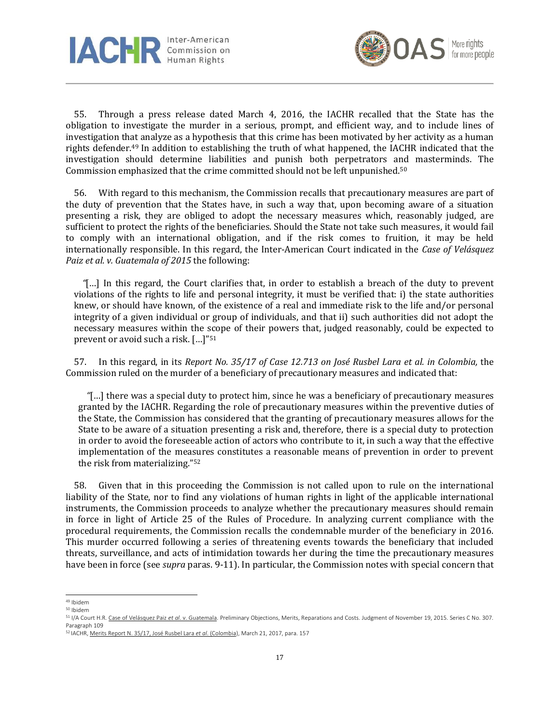



55. Through a press release dated March 4, 2016, the IACHR recalled that the State has the obligation to investigate the murder in a serious, prompt, and efficient way, and to include lines of investigation that analyze as a hypothesis that this crime has been motivated by her activity as a human rights defender. <sup>49</sup> In addition to establishing the truth of what happened, the IACHR indicated that the investigation should determine liabilities and punish both perpetrators and masterminds. The Commission emphasized that the crime committed should not be left unpunished. 50

56. With regard to this mechanism, the Commission recalls that precautionary measures are part of the duty of prevention that the States have, in such a way that, upon becoming aware of a situation presenting a risk, they are obliged to adopt the necessary measures which, reasonably judged, are sufficient to protect the rights of the beneficiaries. Should the State not take such measures, it would fail to comply with an international obligation, and if the risk comes to fruition, it may be held internationally responsible. In this regard, the Inter-American Court indicated in the *Case of Velásquez Paiz et al. v. Guatemala of 2015* the following:

*"*[…] In this regard, the Court clarifies that, in order to establish a breach of the duty to prevent violations of the rights to life and personal integrity, it must be verified that: i) the state authorities knew, or should have known, of the existence of a real and immediate risk to the life and/or personal integrity of a given individual or group of individuals, and that ii) such authorities did not adopt the necessary measures within the scope of their powers that, judged reasonably, could be expected to prevent or avoid such a risk. […]" 51

57. In this regard, in its *Report No. 35/17 of Case 12.713 on José Rusbel Lara et al. in Colombia,* the Commission ruled on the murder of a beneficiary of precautionary measures and indicated that:

*"*[…] there was a special duty to protect him, since he was a beneficiary of precautionary measures granted by the IACHR. Regarding the role of precautionary measures within the preventive duties of the State, the Commission has considered that the granting of precautionary measures allows for the State to be aware of a situation presenting a risk and, therefore, there is a special duty to protection in order to avoid the foreseeable action of actors who contribute to it, in such a way that the effective implementation of the measures constitutes a reasonable means of prevention in order to prevent the risk from materializing." 52

58. Given that in this proceeding the Commission is not called upon to rule on the international liability of the State, nor to find any violations of human rights in light of the applicable international instruments, the Commission proceeds to analyze whether the precautionary measures should remain in force in light of Article 25 of the Rules of Procedure. In analyzing current compliance with the procedural requirements, the Commission recalls the condemnable murder of the beneficiary in 2016. This murder occurred following a series of threatening events towards the beneficiary that included threats, surveillance, and acts of intimidation towards her during the time the precautionary measures have been in force (see *supra* paras. 9-11). In particular, the Commission notes with special concern that

<sup>49</sup> Ibidem

<sup>50</sup> Ibidem

<sup>51</sup> I/A Court H.R. Case [of Velásquez Paiz](https://www.corteidh.or.cr/docs/casos/articulos/seriec_307_esp.pdf) *et al*. v. Guatemala. Preliminary Objections, Merits, Reparations and Costs. Judgment of November 19, 2015. Series C No. 307. Paragraph 109

<sup>52</sup> IACHR, Merits Report N. [35/17, José Rusbel Lara](https://www.oas.org/es/cidh/decisiones/2017/copu12713es.pdf) *et al*. (Colombia), March 21, 2017, para. 157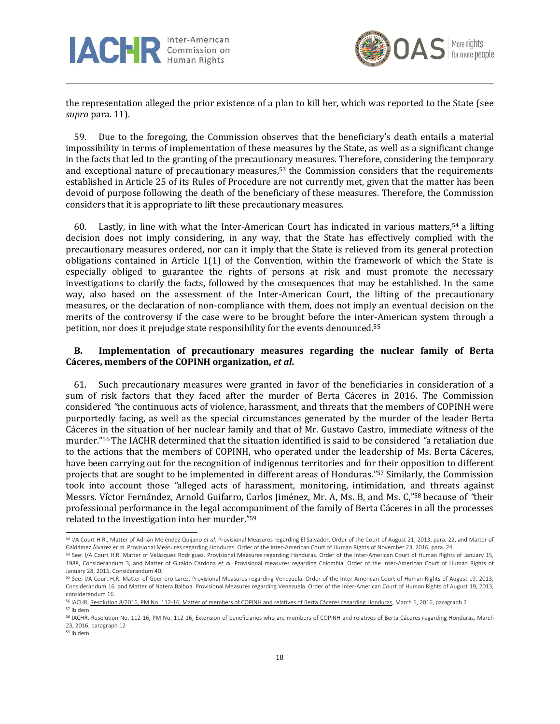



the representation alleged the prior existence of a plan to kill her, which was reported to the State (see *supra* para. 11).

59. Due to the foregoing, the Commission observes that the beneficiary's death entails a material impossibility in terms of implementation of these measures by the State, as well as a significant change in the facts that led to the granting of the precautionary measures. Therefore, considering the temporary and exceptional nature of precautionary measures, <sup>53</sup> the Commission considers that the requirements established in Article 25 of its Rules of Procedure are not currently met, given that the matter has been devoid of purpose following the death of the beneficiary of these measures. Therefore, the Commission considers that it is appropriate to lift these precautionary measures.

60. Lastly, in line with what the Inter-American Court has indicated in various matters,<sup>54</sup> a lifting decision does not imply considering, in any way, that the State has effectively complied with the precautionary measures ordered, nor can it imply that the State is relieved from its general protection obligations contained in Article 1(1) of the Convention, within the framework of which the State is especially obliged to guarantee the rights of persons at risk and must promote the necessary investigations to clarify the facts, followed by the consequences that may be established. In the same way, also based on the assessment of the Inter-American Court, the lifting of the precautionary measures, or the declaration of non-compliance with them, does not imply an eventual decision on the merits of the controversy if the case were to be brought before the inter-American system through a petition, nor does it prejudge state responsibility for the events denounced.<sup>55</sup>

# **B. Implementation of precautionary measures regarding the nuclear family of Berta Cáceres, members of the COPINH organization,** *et al***.**

61. Such precautionary measures were granted in favor of the beneficiaries in consideration of a sum of risk factors that they faced after the murder of Berta Cáceres in 2016. The Commission considered *"*the continuous acts of violence, harassment, and threats that the members of COPINH were purportedly facing, as well as the special circumstances generated by the murder of the leader Berta Cáceres in the situation of her nuclear family and that of Mr. Gustavo Castro, immediate witness of the murder." <sup>56</sup> The IACHR determined that the situation identified is said to be considered *"*a retaliation due to the actions that the members of COPINH, who operated under the leadership of Ms. Berta Cáceres, have been carrying out for the recognition of indigenous territories and for their opposition to different projects that are sought to be implemented in different areas of Honduras." <sup>57</sup> Similarly, the Commission took into account those *"*alleged acts of harassment, monitoring, intimidation, and threats against Messrs. Víctor Fernández, Arnold Guifarro, Carlos Jiménez, Mr. A, Ms. B, and Ms. C," <sup>58</sup> because of *"*their professional performance in the legal accompaniment of the family of Berta Cáceres in all the processes related to the investigation into her murder." 59

<sup>53</sup> I/A Court H.R., Matter of Adrián Meléndez Quijano *et al*. Provisional Measures regarding El Salvador. Order of the Court of August 21, 2013, para. 22, and Matter of Galdámez Álvarez *et al*. Provisional Measures regarding Honduras. Order of the Inter-American Court of Human Rights of November 23, 2016, para. 24

<sup>54</sup> See: I/A Court H.R. Matter of Velásquez Rodríguez. Provisional Measures regarding Honduras. Order of the Inter-American Court of Human Rights of January 15, 1988, Considerandum 3, and Matter of Giraldo Cardona *et al*. Provisional measures regarding Colombia. Order of the Inter-American Court of Human Rights of January 28, 2015, Considerandum 40.

<sup>55</sup> See: I/A Court H.R. Matter of Guerrero Larez. Provisional Measures regarding Venezuela. Order of the Inter-American Court of Human Rights of August 19, 2013, Considerandum 16, and Matter of Natera Balboa. Provisional Measures regarding Venezuela. Order of the Inter-American Court of Human Rights of August 19, 2013, considerandum 16.

<sup>56</sup> IACHR[, Resolution 8/2016, PM No. 112-16, Matter of members of COPINH and relatives of Berta Cáceres regarding Honduras,](http://www.oas.org/es/cidh/decisiones/pdf/2016/MC112-16-Es.pdf) March 5, 2016, paragraph 7 <sup>57</sup> Ibidem

<sup>58</sup> IACHR[, Resolution No. 112-16, PM No. 112-16, Extension of beneficiaries who are members](http://www.oas.org/es/cidh/decisiones/pdf/2016/MC112-16-Es-ampliacion.pdf) of COPINH and relatives of Berta Cáceres regarding Honduras, March 23, 2016, paragraph 12

<sup>59</sup> Ibidem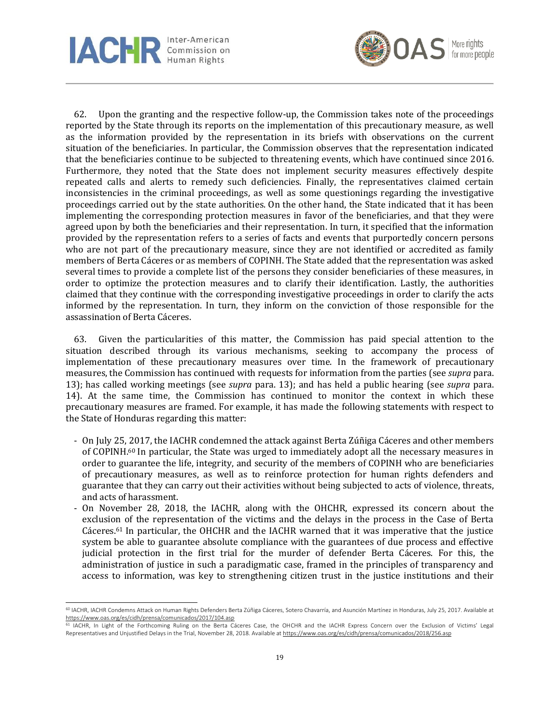



62. Upon the granting and the respective follow-up, the Commission takes note of the proceedings reported by the State through its reports on the implementation of this precautionary measure, as well as the information provided by the representation in its briefs with observations on the current situation of the beneficiaries. In particular, the Commission observes that the representation indicated that the beneficiaries continue to be subjected to threatening events, which have continued since 2016. Furthermore, they noted that the State does not implement security measures effectively despite repeated calls and alerts to remedy such deficiencies. Finally, the representatives claimed certain inconsistencies in the criminal proceedings, as well as some questionings regarding the investigative proceedings carried out by the state authorities. On the other hand, the State indicated that it has been implementing the corresponding protection measures in favor of the beneficiaries, and that they were agreed upon by both the beneficiaries and their representation. In turn, it specified that the information provided by the representation refers to a series of facts and events that purportedly concern persons who are not part of the precautionary measure, since they are not identified or accredited as family members of Berta Cáceres or as members of COPINH. The State added that the representation was asked several times to provide a complete list of the persons they consider beneficiaries of these measures, in order to optimize the protection measures and to clarify their identification. Lastly, the authorities claimed that they continue with the corresponding investigative proceedings in order to clarify the acts informed by the representation. In turn, they inform on the conviction of those responsible for the assassination of Berta Cáceres.

63. Given the particularities of this matter, the Commission has paid special attention to the situation described through its various mechanisms, seeking to accompany the process of implementation of these precautionary measures over time. In the framework of precautionary measures, the Commission has continued with requests for information from the parties (see *supra* para. 13); has called working meetings (see *supra* para. 13); and has held a public hearing (see *supra* para. 14). At the same time, the Commission has continued to monitor the context in which these precautionary measures are framed. For example, it has made the following statements with respect to the State of Honduras regarding this matter:

- On July 25, 2017, the IACHR condemned the attack against Berta Zúñiga Cáceres and other members of COPINH.<sup>60</sup> In particular, the State was urged to immediately adopt all the necessary measures in order to guarantee the life, integrity, and security of the members of COPINH who are beneficiaries of precautionary measures, as well as to reinforce protection for human rights defenders and guarantee that they can carry out their activities without being subjected to acts of violence, threats, and acts of harassment.
- On November 28, 2018, the IACHR, along with the OHCHR, expressed its concern about the exclusion of the representation of the victims and the delays in the process in the Case of Berta Cáceres.<sup>61</sup> In particular, the OHCHR and the IACHR warned that it was imperative that the justice system be able to guarantee absolute compliance with the guarantees of due process and effective judicial protection in the first trial for the murder of defender Berta Cáceres. For this, the administration of justice in such a paradigmatic case, framed in the principles of transparency and access to information, was key to strengthening citizen trust in the justice institutions and their

<sup>60</sup> IACHR, IACHR Condemns Attack on Human Rights Defenders Berta Zúñiga Cáceres, Sotero Chavarría, and Asunción Martínez in Honduras, July 25, 2017. Available at <https://www.oas.org/es/cidh/prensa/comunicados/2017/104.asp>

<sup>61</sup> IACHR, In Light of the Forthcoming Ruling on the Berta Cáceres Case, the OHCHR and the IACHR Express Concern over the Exclusion of Victims' Legal Representatives and Unjustified Delays in the Trial, November 28, 2018. Available at <https://www.oas.org/es/cidh/prensa/comunicados/2018/256.asp>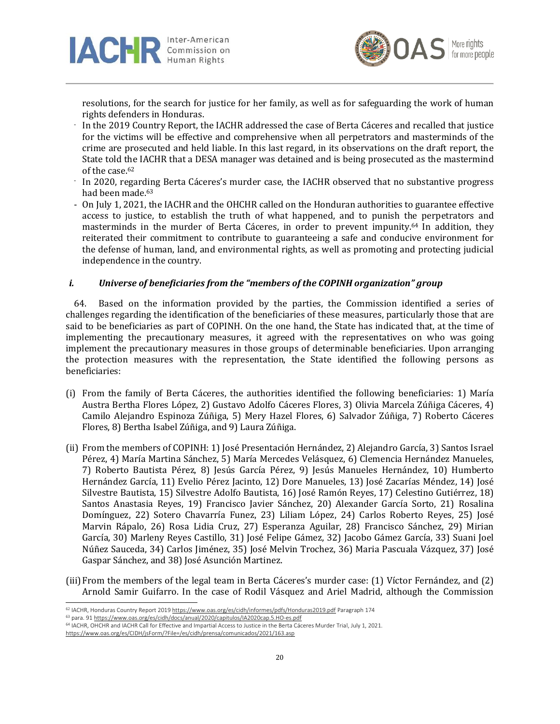



resolutions, for the search for justice for her family, as well as for safeguarding the work of human rights defenders in Honduras.

- In the 2019 Country Report, the IACHR addressed the case of Berta Cáceres and recalled that justice for the victims will be effective and comprehensive when all perpetrators and masterminds of the crime are prosecuted and held liable. In this last regard, in its observations on the draft report, the State told the IACHR that a DESA manager was detained and is being prosecuted as the mastermind of the case. 62
- In 2020, regarding Berta Cáceres's murder case, the IACHR observed that no substantive progress had been made. 63
- On July 1, 2021, the IACHR and the OHCHR called on the Honduran authorities to guarantee effective access to justice, to establish the truth of what happened, and to punish the perpetrators and masterminds in the murder of Berta Cáceres, in order to prevent impunity.<sup>64</sup> In addition, they reiterated their commitment to contribute to guaranteeing a safe and conducive environment for the defense of human, land, and environmental rights, as well as promoting and protecting judicial independence in the country.

# *i. Universe of beneficiaries from the "members of the COPINH organization" group*

64. Based on the information provided by the parties, the Commission identified a series of challenges regarding the identification of the beneficiaries of these measures, particularly those that are said to be beneficiaries as part of COPINH. On the one hand, the State has indicated that, at the time of implementing the precautionary measures, it agreed with the representatives on who was going implement the precautionary measures in those groups of determinable beneficiaries. Upon arranging the protection measures with the representation, the State identified the following persons as beneficiaries:

- (i) From the family of Berta Cáceres, the authorities identified the following beneficiaries: 1) María Austra Bertha Flores López, 2) Gustavo Adolfo Cáceres Flores, 3) Olivia Marcela Zúñiga Cáceres, 4) Camilo Alejandro Espinoza Zúñiga, 5) Mery Hazel Flores, 6) Salvador Zúñiga, 7) Roberto Cáceres Flores, 8) Bertha Isabel Zúñiga, and 9) Laura Zúñiga.
- (ii) From the members of COPINH: 1) José Presentación Hernández, 2) Alejandro García, 3) Santos Israel Pérez, 4) María Martina Sánchez, 5) María Mercedes Velásquez, 6) Clemencia Hernández Manueles, 7) Roberto Bautista Pérez, 8) Jesús García Pérez, 9) Jesús Manueles Hernández, 10) Humberto Hernández García, 11) Evelio Pérez Jacinto, 12) Dore Manueles, 13) José Zacarías Méndez, 14) José Silvestre Bautista, 15) Silvestre Adolfo Bautista, 16) José Ramón Reyes, 17) Celestino Gutiérrez, 18) Santos Anastasia Reyes, 19) Francisco Javier Sánchez, 20) Alexander García Sorto, 21) Rosalina Domínguez, 22) Sotero Chavarría Funez, 23) Liliam López, 24) Carlos Roberto Reyes, 25) José Marvin Rápalo, 26) Rosa Lidia Cruz, 27) Esperanza Aguilar, 28) Francisco Sánchez, 29) Mirian García, 30) Marleny Reyes Castillo, 31) José Felipe Gámez, 32) Jacobo Gámez García, 33) Suani Joel Núñez Sauceda, 34) Carlos Jiménez, 35) José Melvin Trochez, 36) Maria Pascuala Vázquez, 37) José Gaspar Sánchez, and 38) José Asunción Martinez.
- (iii)From the members of the legal team in Berta Cáceres's murder case: (1) Víctor Fernández, and (2) Arnold Samir Guifarro. In the case of Rodil Vásquez and Ariel Madrid, although the Commission

<sup>62</sup> IACHR, Honduras Country Report 201[9 https://www.oas.org/es/cidh/informes/pdfs/Honduras2019.pdf](https://www.oas.org/es/cidh/informes/pdfs/Honduras2019.pdf) Paragraph 174

<sup>63</sup> para. 9[1 https://www.oas.org/es/cidh/docs/anual/2020/capitulos/IA2020cap.5.HO-es.pdf](https://www.oas.org/es/cidh/docs/anual/2020/capitulos/IA2020cap.5.HO-es.pdf)

<sup>64</sup> IACHR, OHCHR and IACHR Call for Effective and Impartial Access to Justice in the Berta Cáceres Murder Trial, July 1, 2021.

<https://www.oas.org/es/CIDH/jsForm/?File=/es/cidh/prensa/comunicados/2021/163.asp>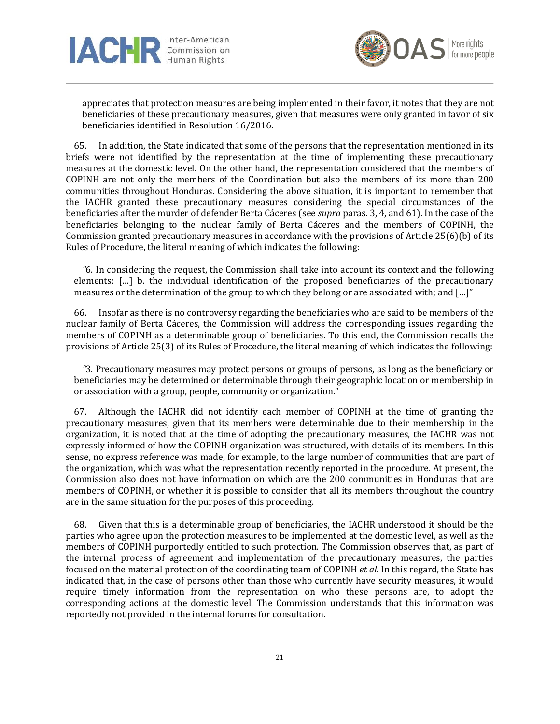



appreciates that protection measures are being implemented in their favor, it notes that they are not beneficiaries of these precautionary measures, given that measures were only granted in favor of six beneficiaries identified in Resolution 16/2016.

65. In addition, the State indicated that some of the persons that the representation mentioned in its briefs were not identified by the representation at the time of implementing these precautionary measures at the domestic level. On the other hand, the representation considered that the members of COPINH are not only the members of the Coordination but also the members of its more than 200 communities throughout Honduras. Considering the above situation, it is important to remember that the IACHR granted these precautionary measures considering the special circumstances of the beneficiaries after the murder of defender Berta Cáceres (see *supra* paras. 3, 4, and 61). In the case of the beneficiaries belonging to the nuclear family of Berta Cáceres and the members of COPINH, the Commission granted precautionary measures in accordance with the provisions of Article 25(6)(b) of its Rules of Procedure, the literal meaning of which indicates the following:

*"*6. In considering the request, the Commission shall take into account its context and the following elements: […] b. the individual identification of the proposed beneficiaries of the precautionary measures or the determination of the group to which they belong or are associated with; and […]"

66. Insofar as there is no controversy regarding the beneficiaries who are said to be members of the nuclear family of Berta Cáceres, the Commission will address the corresponding issues regarding the members of COPINH as a determinable group of beneficiaries. To this end, the Commission recalls the provisions of Article 25(3) of its Rules of Procedure, the literal meaning of which indicates the following:

*"*3. Precautionary measures may protect persons or groups of persons, as long as the beneficiary or beneficiaries may be determined or determinable through their geographic location or membership in or association with a group, people, community or organization."

67. Although the IACHR did not identify each member of COPINH at the time of granting the precautionary measures, given that its members were determinable due to their membership in the organization, it is noted that at the time of adopting the precautionary measures, the IACHR was not expressly informed of how the COPINH organization was structured, with details of its members. In this sense, no express reference was made, for example, to the large number of communities that are part of the organization, which was what the representation recently reported in the procedure. At present, the Commission also does not have information on which are the 200 communities in Honduras that are members of COPINH, or whether it is possible to consider that all its members throughout the country are in the same situation for the purposes of this proceeding.

68. Given that this is a determinable group of beneficiaries, the IACHR understood it should be the parties who agree upon the protection measures to be implemented at the domestic level, as well as the members of COPINH purportedly entitled to such protection. The Commission observes that, as part of the internal process of agreement and implementation of the precautionary measures, the parties focused on the material protection of the coordinating team of COPINH *et al*. In this regard, the State has indicated that, in the case of persons other than those who currently have security measures, it would require timely information from the representation on who these persons are, to adopt the corresponding actions at the domestic level. The Commission understands that this information was reportedly not provided in the internal forums for consultation.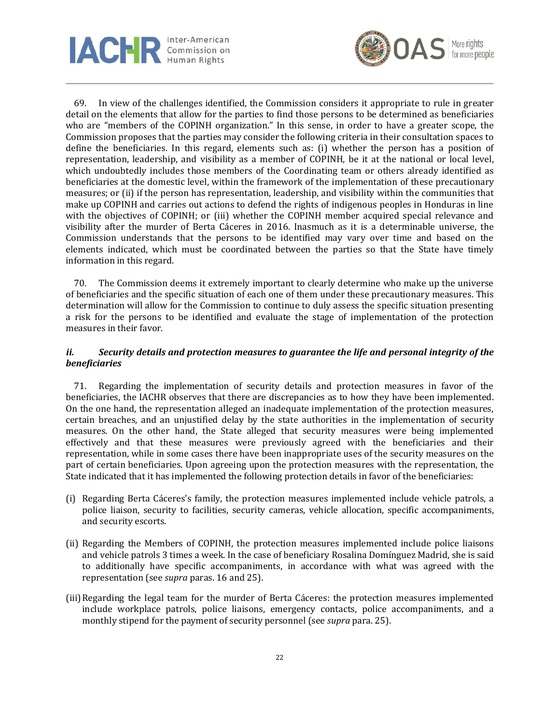



69. In view of the challenges identified, the Commission considers it appropriate to rule in greater detail on the elements that allow for the parties to find those persons to be determined as beneficiaries who are "members of the COPINH organization." In this sense, in order to have a greater scope, the Commission proposes that the parties may consider the following criteria in their consultation spaces to define the beneficiaries. In this regard, elements such as: (i) whether the person has a position of representation, leadership, and visibility as a member of COPINH, be it at the national or local level, which undoubtedly includes those members of the Coordinating team or others already identified as beneficiaries at the domestic level, within the framework of the implementation of these precautionary measures; or (ii) if the person has representation, leadership, and visibility within the communities that make up COPINH and carries out actions to defend the rights of indigenous peoples in Honduras in line with the objectives of COPINH; or (iii) whether the COPINH member acquired special relevance and visibility after the murder of Berta Cáceres in 2016. Inasmuch as it is a determinable universe, the Commission understands that the persons to be identified may vary over time and based on the elements indicated, which must be coordinated between the parties so that the State have timely information in this regard.

70. The Commission deems it extremely important to clearly determine who make up the universe of beneficiaries and the specific situation of each one of them under these precautionary measures. This determination will allow for the Commission to continue to duly assess the specific situation presenting a risk for the persons to be identified and evaluate the stage of implementation of the protection measures in their favor.

# *ii. Security details and protection measures to guarantee the life and personal integrity of the beneficiaries*

71. Regarding the implementation of security details and protection measures in favor of the beneficiaries, the IACHR observes that there are discrepancies as to how they have been implemented. On the one hand, the representation alleged an inadequate implementation of the protection measures, certain breaches, and an unjustified delay by the state authorities in the implementation of security measures. On the other hand, the State alleged that security measures were being implemented effectively and that these measures were previously agreed with the beneficiaries and their representation, while in some cases there have been inappropriate uses of the security measures on the part of certain beneficiaries. Upon agreeing upon the protection measures with the representation, the State indicated that it has implemented the following protection details in favor of the beneficiaries:

- (i) Regarding Berta Cáceres's family, the protection measures implemented include vehicle patrols, a police liaison, security to facilities, security cameras, vehicle allocation, specific accompaniments, and security escorts.
- (ii) Regarding the Members of COPINH, the protection measures implemented include police liaisons and vehicle patrols 3 times a week. In the case of beneficiary Rosalina Domínguez Madrid, she is said to additionally have specific accompaniments, in accordance with what was agreed with the representation (see *supra* paras. 16 and 25).
- (iii) Regarding the legal team for the murder of Berta Cáceres: the protection measures implemented include workplace patrols, police liaisons, emergency contacts, police accompaniments, and a monthly stipend for the payment of security personnel (see *supra* para. 25).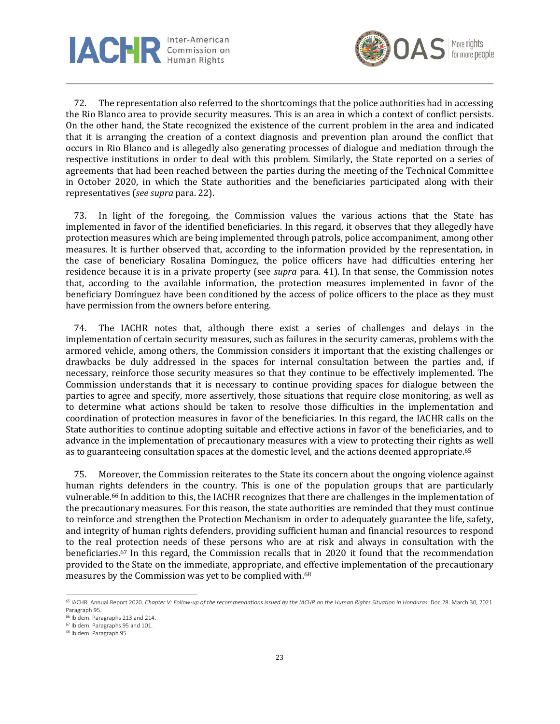

![](_page_22_Picture_1.jpeg)

72. The representation also referred to the shortcomings that the police authorities had in accessing the Rio Blanco area to provide security measures. This is an area in which a context of conflict persists. On the other hand, the State recognized the existence of the current problem in the area and indicated that it is arranging the creation of a context diagnosis and prevention plan around the conflict that occurs in Rio Blanco and is allegedly also generating processes of dialogue and mediation through the respective institutions in order to deal with this problem. Similarly, the State reported on a series of agreements that had been reached between the parties during the meeting of the Technical Committee in October 2020, in which the State authorities and the beneficiaries participated along with their representatives (*see supra* para. 22).

73. In light of the foregoing, the Commission values the various actions that the State has implemented in favor of the identified beneficiaries. In this regard, it observes that they allegedly have protection measures which are being implemented through patrols, police accompaniment, among other measures. It is further observed that, according to the information provided by the representation, in the case of beneficiary Rosalina Domínguez, the police officers have had difficulties entering her residence because it is in a private property (see *supra* para. 41). In that sense, the Commission notes that, according to the available information, the protection measures implemented in favor of the beneficiary Domínguez have been conditioned by the access of police officers to the place as they must have permission from the owners before entering.

The IACHR notes that, although there exist a series of challenges and delays in the implementation of certain security measures, such as failures in the security cameras, problems with the armored vehicle, among others, the Commission considers it important that the existing challenges or drawbacks be duly addressed in the spaces for internal consultation between the parties and, if necessary, reinforce those security measures so that they continue to be effectively implemented. The Commission understands that it is necessary to continue providing spaces for dialogue between the parties to agree and specify, more assertively, those situations that require close monitoring, as well as to determine what actions should be taken to resolve those difficulties in the implementation and coordination of protection measures in favor of the beneficiaries. In this regard, the IACHR calls on the State authorities to continue adopting suitable and effective actions in favor of the beneficiaries, and to advance in the implementation of precautionary measures with a view to protecting their rights as well as to guaranteeing consultation spaces at the domestic level, and the actions deemed appropriate.<sup>65</sup>

75. Moreover, the Commission reiterates to the State its concern about the ongoing violence against human rights defenders in the country. This is one of the population groups that are particularly vulnerable.<sup>66</sup> In addition to this, the IACHR recognizes that there are challenges in the implementation of the precautionary measures. For this reason, the state authorities are reminded that they must continue to reinforce and strengthen the Protection Mechanism in order to adequately guarantee the life, safety, and integrity of human rights defenders, providing sufficient human and financial resources to respond to the real protection needs of these persons who are at risk and always in consultation with the beneficiaries.<sup>67</sup> In this regard, the Commission recalls that in 2020 it found that the recommendation provided to the State on the immediate, appropriate, and effective implementation of the precautionary measures by the Commission was yet to be complied with.<sup>68</sup>

<sup>65</sup> IACHR. Annual Report 2020. *Chapter V: Follow-up of the recommendations issued by the IACHR on the Human Rights Situation in Honduras*. Doc.28. March 30, 2021. Paragraph 95.

<sup>66</sup> Ibidem. Paragraphs 213 and 214.

<sup>67</sup> Ibidem. Paragraphs 95 and 101.

<sup>68</sup> Ibidem. Paragraph 95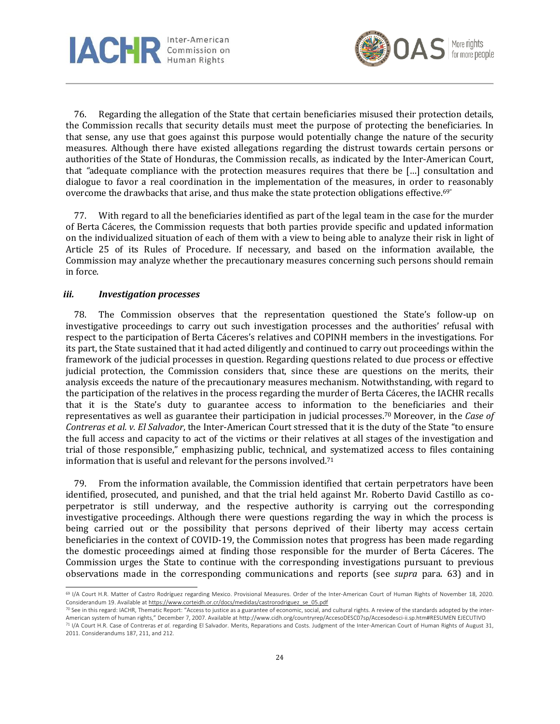![](_page_23_Picture_0.jpeg)

![](_page_23_Picture_1.jpeg)

76. Regarding the allegation of the State that certain beneficiaries misused their protection details, the Commission recalls that security details must meet the purpose of protecting the beneficiaries. In that sense, any use that goes against this purpose would potentially change the nature of the security measures. Although there have existed allegations regarding the distrust towards certain persons or authorities of the State of Honduras, the Commission recalls, as indicated by the Inter-American Court, that *"*adequate compliance with the protection measures requires that there be […] consultation and dialogue to favor a real coordination in the implementation of the measures, in order to reasonably overcome the drawbacks that arise, and thus make the state protection obligations effective.<sup>69</sup>

77. With regard to all the beneficiaries identified as part of the legal team in the case for the murder of Berta Cáceres, the Commission requests that both parties provide specific and updated information on the individualized situation of each of them with a view to being able to analyze their risk in light of Article 25 of its Rules of Procedure. If necessary, and based on the information available, the Commission may analyze whether the precautionary measures concerning such persons should remain in force.

### *iii. Investigation processes*

78. The Commission observes that the representation questioned the State's follow-up on investigative proceedings to carry out such investigation processes and the authorities' refusal with respect to the participation of Berta Cáceres's relatives and COPINH members in the investigations. For its part, the State sustained that it had acted diligently and continued to carry out proceedings within the framework of the judicial processes in question. Regarding questions related to due process or effective judicial protection, the Commission considers that, since these are questions on the merits, their analysis exceeds the nature of the precautionary measures mechanism. Notwithstanding, with regard to the participation of the relatives in the process regarding the murder of Berta Cáceres, the IACHR recalls that it is the State's duty to guarantee access to information to the beneficiaries and their representatives as well as guarantee their participation in judicial processes.<sup>70</sup> Moreover, in the *Case of Contreras et al. v. El Salvador*, the Inter-American Court stressed that it is the duty of the State "to ensure the full access and capacity to act of the victims or their relatives at all stages of the investigation and trial of those responsible," emphasizing public, technical, and systematized access to files containing information that is useful and relevant for the persons involved.<sup>71</sup>

79. From the information available, the Commission identified that certain perpetrators have been identified, prosecuted, and punished, and that the trial held against Mr. Roberto David Castillo as coperpetrator is still underway, and the respective authority is carrying out the corresponding investigative proceedings. Although there were questions regarding the way in which the process is being carried out or the possibility that persons deprived of their liberty may access certain beneficiaries in the context of COVID-19, the Commission notes that progress has been made regarding the domestic proceedings aimed at finding those responsible for the murder of Berta Cáceres. The Commission urges the State to continue with the corresponding investigations pursuant to previous observations made in the corresponding communications and reports (see *supra* para. 63) and in

<sup>69</sup> I/A Court H.R. Matter of Castro Rodríguez regarding Mexico. Provisional Measures. Order of the Inter-American Court of Human Rights of November 18, 2020. Considerandum 19. Available a[t https://www.corteidh.or.cr/docs/medidas/castrorodriguez\\_se\\_05.pdf](https://www.corteidh.or.cr/docs/medidas/castrorodriguez_se_05.pdf)

<sup>70</sup> See in this regard: IACHR, Thematic Report: "Access to justice as a guarantee of economic, social, and cultural rights. A review of the standards adopted by the inter-American system of human rights," December 7, 2007. Available at http://www.cidh.org/countryrep/AccesoDESC07sp/Accesodesci-ii.sp.htm#RESUMEN EJECUTIVO

<sup>71</sup> I/A Court H.R. Case of Contreras *et al*. regarding El Salvador. Merits, Reparations and Costs. Judgment of the Inter-American Court of Human Rights of August 31, 2011. Considerandums 187, 211, and 212.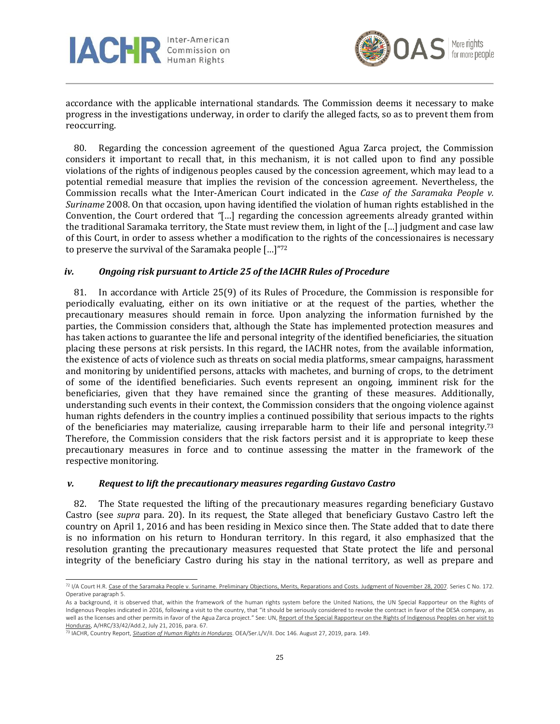![](_page_24_Picture_0.jpeg)

![](_page_24_Picture_1.jpeg)

accordance with the applicable international standards. The Commission deems it necessary to make progress in the investigations underway, in order to clarify the alleged facts, so as to prevent them from reoccurring.

80. Regarding the concession agreement of the questioned Agua Zarca project, the Commission considers it important to recall that, in this mechanism, it is not called upon to find any possible violations of the rights of indigenous peoples caused by the concession agreement, which may lead to a potential remedial measure that implies the revision of the concession agreement. Nevertheless, the Commission recalls what the Inter-American Court indicated in the *Case of the Saramaka People v. Suriname* 2008. On that occasion, upon having identified the violation of human rights established in the Convention, the Court ordered that *"*[…] regarding the concession agreements already granted within the traditional Saramaka territory, the State must review them, in light of the […] judgment and case law of this Court, in order to assess whether a modification to the rights of the concessionaires is necessary to preserve the survival of the Saramaka people [...]"72

## *iv. Ongoing risk pursuant to Article 25 of the IACHR Rules of Procedure*

81. In accordance with Article 25(9) of its Rules of Procedure, the Commission is responsible for periodically evaluating, either on its own initiative or at the request of the parties, whether the precautionary measures should remain in force. Upon analyzing the information furnished by the parties, the Commission considers that, although the State has implemented protection measures and has taken actions to guarantee the life and personal integrity of the identified beneficiaries, the situation placing these persons at risk persists. In this regard, the IACHR notes, from the available information, the existence of acts of violence such as threats on social media platforms, smear campaigns, harassment and monitoring by unidentified persons, attacks with machetes, and burning of crops, to the detriment of some of the identified beneficiaries. Such events represent an ongoing, imminent risk for the beneficiaries, given that they have remained since the granting of these measures. Additionally, understanding such events in their context, the Commission considers that the ongoing violence against human rights defenders in the country implies a continued possibility that serious impacts to the rights of the beneficiaries may materialize, causing irreparable harm to their life and personal integrity.<sup>73</sup> Therefore, the Commission considers that the risk factors persist and it is appropriate to keep these precautionary measures in force and to continue assessing the matter in the framework of the respective monitoring.

### *v. Request to lift the precautionary measures regarding Gustavo Castro*

82. The State requested the lifting of the precautionary measures regarding beneficiary Gustavo Castro (see *supra* para. 20). In its request, the State alleged that beneficiary Gustavo Castro left the country on April 1, 2016 and has been residing in Mexico since then. The State added that to date there is no information on his return to Honduran territory. In this regard, it also emphasized that the resolution granting the precautionary measures requested that State protect the life and personal integrity of the beneficiary Castro during his stay in the national territory, as well as prepare and

<sup>72</sup> I/A Court H.R[. Case of the Saramaka People v. Suriname. Preliminary Objections, Merits, Reparations and Costs. Judgment of November 28, 2007.](https://www.corteidh.or.cr/docs/casos/articulos/seriec_172_esp.pdf) Series C No. 172. Operative paragraph 5.

As a background, it is observed that, within the framework of the human rights system before the United Nations, the UN Special Rapporteur on the Rights of Indigenous Peoples indicated in 2016, following a visit to the country, that "it should be seriously considered to revoke the contract in favor of the DESA company, as well as the licenses and other permits in favor of the Agua Zarca project." See: UN[, Report of the Special Rapporteur on the Rights of](https://undocs.org/es/A/HRC/33/42/Add.2) Indigenous Peoples on her visit to [Honduras,](https://undocs.org/es/A/HRC/33/42/Add.2) A/HRC/33/42/Add.2, July 21, 2016, para. 67.

<sup>73</sup> IACHR, Country Report, *[Situation of Human Rights in Honduras](https://www.oas.org/es/cidh/informes/pdfs/Honduras2019.pdf)*. OEA/Ser.L/V/II. Doc 146. August 27, 2019, para. 149.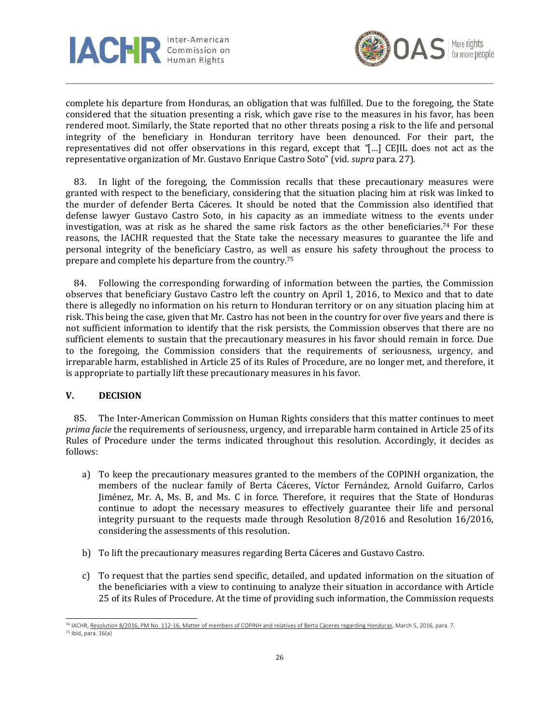![](_page_25_Picture_0.jpeg)

![](_page_25_Picture_1.jpeg)

complete his departure from Honduras, an obligation that was fulfilled. Due to the foregoing, the State considered that the situation presenting a risk, which gave rise to the measures in his favor, has been rendered moot. Similarly, the State reported that no other threats posing a risk to the life and personal integrity of the beneficiary in Honduran territory have been denounced. For their part, the representatives did not offer observations in this regard, except that *"*[…] CEJIL does not act as the representative organization of Mr. Gustavo Enrique Castro Soto" (vid. *supra* para. 27).

83. In light of the foregoing, the Commission recalls that these precautionary measures were granted with respect to the beneficiary, considering that the situation placing him at risk was linked to the murder of defender Berta Cáceres. It should be noted that the Commission also identified that defense lawyer Gustavo Castro Soto, in his capacity as an immediate witness to the events under investigation, was at risk as he shared the same risk factors as the other beneficiaries.<sup>74</sup> For these reasons, the IACHR requested that the State take the necessary measures to guarantee the life and personal integrity of the beneficiary Castro, as well as ensure his safety throughout the process to prepare and complete his departure from the country.<sup>75</sup>

84. Following the corresponding forwarding of information between the parties, the Commission observes that beneficiary Gustavo Castro left the country on April 1, 2016, to Mexico and that to date there is allegedly no information on his return to Honduran territory or on any situation placing him at risk. This being the case, given that Mr. Castro has not been in the country for over five years and there is not sufficient information to identify that the risk persists, the Commission observes that there are no sufficient elements to sustain that the precautionary measures in his favor should remain in force. Due to the foregoing, the Commission considers that the requirements of seriousness, urgency, and irreparable harm, established in Article 25 of its Rules of Procedure, are no longer met, and therefore, it is appropriate to partially lift these precautionary measures in his favor.

### **V. DECISION**

85. The Inter-American Commission on Human Rights considers that this matter continues to meet *prima facie* the requirements of seriousness, urgency, and irreparable harm contained in Article 25 of its Rules of Procedure under the terms indicated throughout this resolution. Accordingly, it decides as follows:

- a) To keep the precautionary measures granted to the members of the COPINH organization, the members of the nuclear family of Berta Cáceres, Víctor Fernández, Arnold Guifarro, Carlos Jiménez, Mr. A, Ms. B, and Ms. C in force. Therefore, it requires that the State of Honduras continue to adopt the necessary measures to effectively guarantee their life and personal integrity pursuant to the requests made through Resolution 8/2016 and Resolution 16/2016, considering the assessments of this resolution.
- b) To lift the precautionary measures regarding Berta Cáceres and Gustavo Castro.
- c) To request that the parties send specific, detailed, and updated information on the situation of the beneficiaries with a view to continuing to analyze their situation in accordance with Article 25 of its Rules of Procedure. At the time of providing such information, the Commission requests

<sup>74</sup> IACHR[, Resolution 8/2016, PM No. 112-16, Matter of members of COPINH and relatives of Berta Cáceres regarding Honduras,](http://www.oas.org/es/cidh/decisiones/pdf/2016/MC112-16-Es.pdf) March 5, 2016, para. 7. <sup>75</sup> Ibid, para. 16(a)